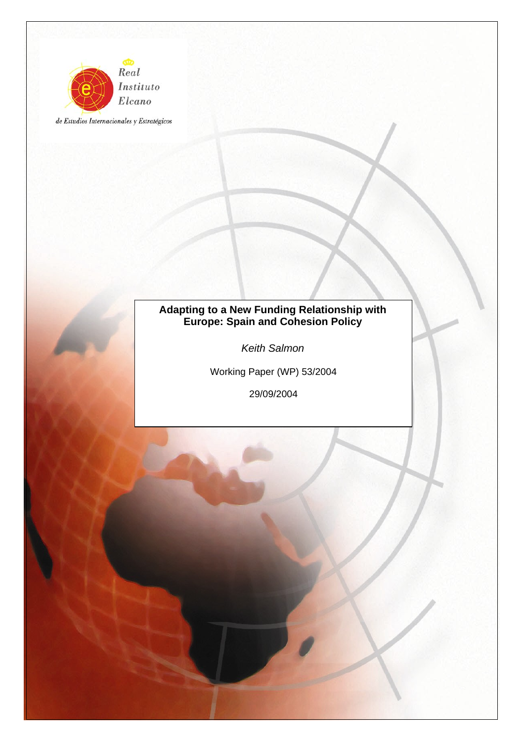

de Estudios Internacionales y Estratégicos

# **Adapting to a New Funding Relationship with Europe: Spain and Cohesion Policy**

*Keith Salmon* 

Working Paper (WP) 53/2004

29/09/2004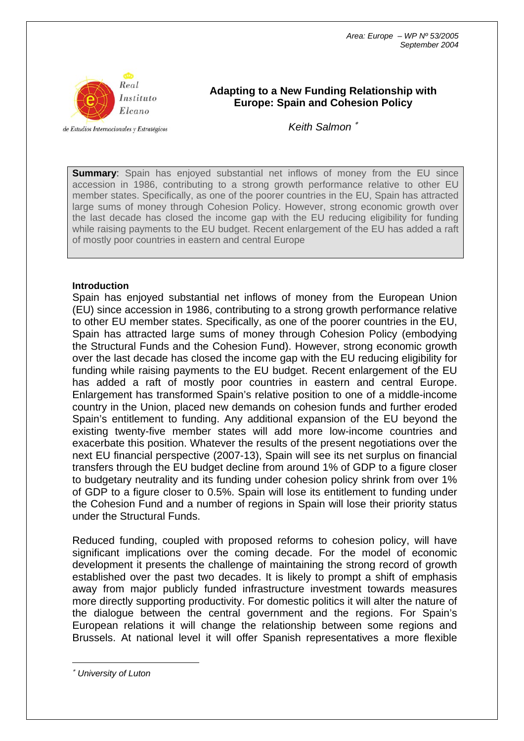

# **Adapting to a New Funding Relationship with Europe: Spain and Cohesion Policy**

de Estudios Internacionales y Estratégicos

*Keith Salmon* <sup>∗</sup>

**Summary:** Spain has enjoyed substantial net inflows of money from the EU since accession in 1986, contributing to a strong growth performance relative to other EU member states. Specifically, as one of the poorer countries in the EU, Spain has attracted large sums of money through Cohesion Policy. However, strong economic growth over the last decade has closed the income gap with the EU reducing eligibility for funding while raising payments to the EU budget. Recent enlargement of the EU has added a raft of mostly poor countries in eastern and central Europe

#### **Introduction**

Spain has enjoyed substantial net inflows of money from the European Union (EU) since accession in 1986, contributing to a strong growth performance relative to other EU member states. Specifically, as one of the poorer countries in the EU, Spain has attracted large sums of money through Cohesion Policy (embodying the Structural Funds and the Cohesion Fund). However, strong economic growth over the last decade has closed the income gap with the EU reducing eligibility for funding while raising payments to the EU budget. Recent enlargement of the EU has added a raft of mostly poor countries in eastern and central Europe. Enlargement has transformed Spain's relative position to one of a middle-income country in the Union, placed new demands on cohesion funds and further eroded Spain's entitlement to funding. Any additional expansion of the EU beyond the existing twenty-five member states will add more low-income countries and exacerbate this position. Whatever the results of the present negotiations over the next EU financial perspective (2007-13), Spain will see its net surplus on financial transfers through the EU budget decline from around 1% of GDP to a figure closer to budgetary neutrality and its funding under cohesion policy shrink from over 1% of GDP to a figure closer to 0.5%. Spain will lose its entitlement to funding under the Cohesion Fund and a number of regions in Spain will lose their priority status under the Structural Funds.

Reduced funding, coupled with proposed reforms to cohesion policy, will have significant implications over the coming decade. For the model of economic development it presents the challenge of maintaining the strong record of growth established over the past two decades. It is likely to prompt a shift of emphasis away from major publicly funded infrastructure investment towards measures more directly supporting productivity. For domestic politics it will alter the nature of the dialogue between the central government and the regions. For Spain's European relations it will change the relationship between some regions and Brussels. At national level it will offer Spanish representatives a more flexible

∗ *University of Luton* 

 $\overline{a}$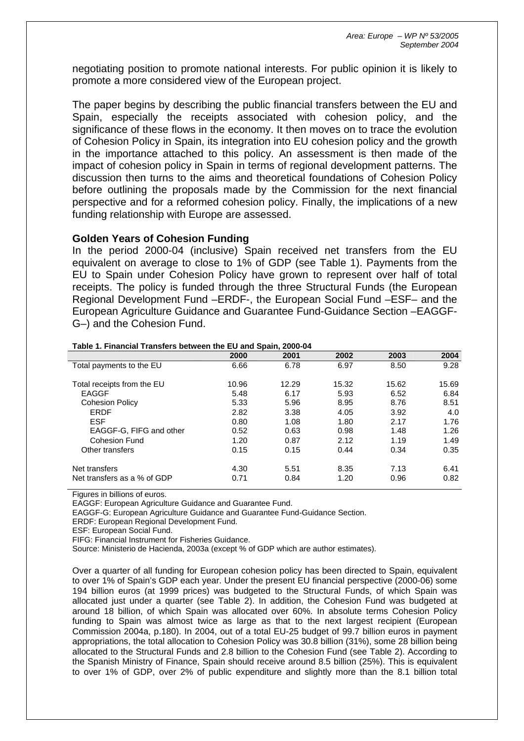negotiating position to promote national interests. For public opinion it is likely to promote a more considered view of the European project.

The paper begins by describing the public financial transfers between the EU and Spain, especially the receipts associated with cohesion policy, and the significance of these flows in the economy. It then moves on to trace the evolution of Cohesion Policy in Spain, its integration into EU cohesion policy and the growth in the importance attached to this policy. An assessment is then made of the impact of cohesion policy in Spain in terms of regional development patterns. The discussion then turns to the aims and theoretical foundations of Cohesion Policy before outlining the proposals made by the Commission for the next financial perspective and for a reformed cohesion policy. Finally, the implications of a new funding relationship with Europe are assessed.

## **Golden Years of Cohesion Funding**

In the period 2000-04 (inclusive) Spain received net transfers from the EU equivalent on average to close to 1% of GDP (see Table 1). Payments from the EU to Spain under Cohesion Policy have grown to represent over half of total receipts. The policy is funded through the three Structural Funds (the European Regional Development Fund –ERDF-, the European Social Fund –ESF– and the European Agriculture Guidance and Guarantee Fund-Guidance Section –EAGGF-G–) and the Cohesion Fund.

|                             | 2000  | 2001  | 2002  | 2003  | 2004  |
|-----------------------------|-------|-------|-------|-------|-------|
| Total payments to the EU    | 6.66  | 6.78  | 6.97  | 8.50  | 9.28  |
|                             |       |       |       |       |       |
| Total receipts from the EU  | 10.96 | 12.29 | 15.32 | 15.62 | 15.69 |
| EAGGF                       | 5.48  | 6.17  | 5.93  | 6.52  | 6.84  |
| <b>Cohesion Policy</b>      | 5.33  | 5.96  | 8.95  | 8.76  | 8.51  |
| <b>FRDF</b>                 | 2.82  | 3.38  | 4.05  | 3.92  | 4.0   |
| <b>ESF</b>                  | 0.80  | 1.08  | 1.80  | 2.17  | 1.76  |
| EAGGF-G, FIFG and other     | 0.52  | 0.63  | 0.98  | 1.48  | 1.26  |
| <b>Cohesion Fund</b>        | 1.20  | 0.87  | 2.12  | 1.19  | 1.49  |
| Other transfers             | 0.15  | 0.15  | 0.44  | 0.34  | 0.35  |
|                             |       |       |       |       |       |
| Net transfers               | 4.30  | 5.51  | 8.35  | 7.13  | 6.41  |
| Net transfers as a % of GDP | 0.71  | 0.84  | 1.20  | 0.96  | 0.82  |
|                             |       |       |       |       |       |

#### **Table 1. Financial Transfers between the EU and Spain, 2000-04**

Figures in billions of euros.

EAGGF: European Agriculture Guidance and Guarantee Fund.

EAGGF-G: European Agriculture Guidance and Guarantee Fund-Guidance Section.

ERDF: European Regional Development Fund.

ESF: European Social Fund.

FIFG: Financial Instrument for Fisheries Guidance.

Source: Ministerio de Hacienda, 2003a (except % of GDP which are author estimates).

Over a quarter of all funding for European cohesion policy has been directed to Spain, equivalent to over 1% of Spain's GDP each year. Under the present EU financial perspective (2000-06) some 194 billion euros (at 1999 prices) was budgeted to the Structural Funds, of which Spain was allocated just under a quarter (see Table 2). In addition, the Cohesion Fund was budgeted at around 18 billion, of which Spain was allocated over 60%. In absolute terms Cohesion Policy funding to Spain was almost twice as large as that to the next largest recipient (European Commission 2004a, p.180). In 2004, out of a total EU-25 budget of 99.7 billion euros in payment appropriations, the total allocation to Cohesion Policy was 30.8 billion (31%), some 28 billion being allocated to the Structural Funds and 2.8 billion to the Cohesion Fund (see Table 2). According to the Spanish Ministry of Finance, Spain should receive around 8.5 billion (25%). This is equivalent to over 1% of GDP, over 2% of public expenditure and slightly more than the 8.1 billion total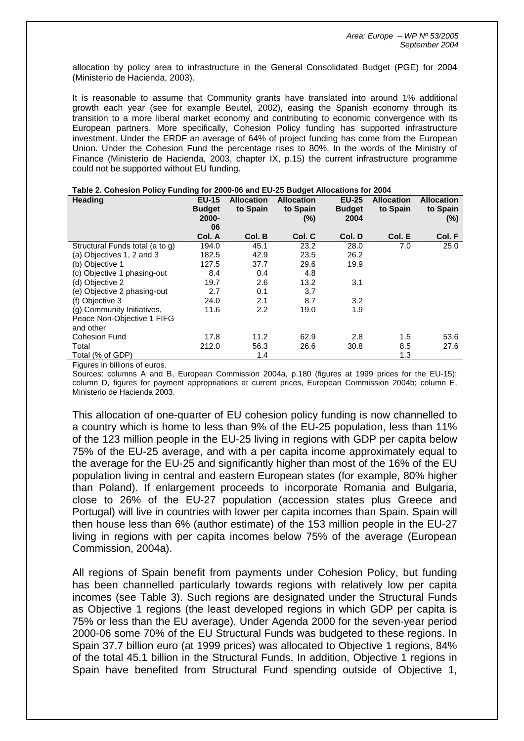allocation by policy area to infrastructure in the General Consolidated Budget (PGE) for 2004 (Ministerio de Hacienda, 2003).

It is reasonable to assume that Community grants have translated into around 1% additional growth each year (see for example Beutel, 2002), easing the Spanish economy through its transition to a more liberal market economy and contributing to economic convergence with its European partners. More specifically, Cohesion Policy funding has supported infrastructure investment. Under the ERDF an average of 64% of project funding has come from the European Union. Under the Cohesion Fund the percentage rises to 80%. In the words of the Ministry of Finance (Ministerio de Hacienda, 2003, chapter IX, p.15) the current infrastructure programme could not be supported without EU funding.

| <b>Heading</b>                  | <b>EU-15</b>           | <b>Allocation</b> | <b>Allocation</b>  | <b>EU-25</b>          | <b>Allocation</b> | <b>Allocation</b>  |
|---------------------------------|------------------------|-------------------|--------------------|-----------------------|-------------------|--------------------|
|                                 | <b>Budget</b><br>2000- | to Spain          | to Spain<br>$(\%)$ | <b>Budget</b><br>2004 | to Spain          | to Spain<br>$(\%)$ |
|                                 | 06                     |                   |                    |                       |                   |                    |
|                                 | Col. A                 | Col. B            | Col. C             | Col. D                | Col. E            | Col. F             |
| Structural Funds total (a to g) | 194.0                  | 45.1              | 23.2               | 28.0                  | 7.0               | 25.0               |
| (a) Objectives 1, 2 and 3       | 182.5                  | 42.9              | 23.5               | 26.2                  |                   |                    |
| (b) Objective 1                 | 127.5                  | 37.7              | 29.6               | 19.9                  |                   |                    |
| (c) Objective 1 phasing-out     | 8.4                    | 0.4               | 4.8                |                       |                   |                    |
| (d) Objective 2                 | 19.7                   | 2.6               | 13.2               | 3.1                   |                   |                    |
| (e) Objective 2 phasing-out     | 2.7                    | 0.1               | 3.7                |                       |                   |                    |
| (f) Objective 3                 | 24.0                   | 2.1               | 8.7                | 3.2                   |                   |                    |
| (g) Community Initiatives,      | 11.6                   | 2.2               | 19.0               | 1.9                   |                   |                    |
| Peace Non-Objective 1 FIFG      |                        |                   |                    |                       |                   |                    |
| and other                       |                        |                   |                    |                       |                   |                    |
| Cohesion Fund                   | 17.8                   | 11.2              | 62.9               | 2.8                   | 1.5               | 53.6               |
| Total                           | 212.0                  | 56.3              | 26.6               | 30.8                  | 8.5               | 27.6               |
| Total (% of GDP)                |                        | 1.4               |                    |                       | 1.3               |                    |

#### **Table 2. Cohesion Policy Funding for 2000-06 and EU-25 Budget Allocations for 2004**

Figures in billions of euros.

Sources: columns A and B, European Commission 2004a, p.180 (figures at 1999 prices for the EU-15); column D, figures for payment appropriations at current prices, European Commission 2004b; column E, Ministerio de Hacienda 2003.

This allocation of one-quarter of EU cohesion policy funding is now channelled to a country which is home to less than 9% of the EU-25 population, less than 11% of the 123 million people in the EU-25 living in regions with GDP per capita below 75% of the EU-25 average, and with a per capita income approximately equal to the average for the EU-25 and significantly higher than most of the 16% of the EU population living in central and eastern European states (for example, 80% higher than Poland). If enlargement proceeds to incorporate Romania and Bulgaria, close to 26% of the EU-27 population (accession states plus Greece and Portugal) will live in countries with lower per capita incomes than Spain. Spain will then house less than 6% (author estimate) of the 153 million people in the EU-27 living in regions with per capita incomes below 75% of the average (European Commission, 2004a).

All regions of Spain benefit from payments under Cohesion Policy, but funding has been channelled particularly towards regions with relatively low per capita incomes (see Table 3). Such regions are designated under the Structural Funds as Objective 1 regions (the least developed regions in which GDP per capita is 75% or less than the EU average). Under Agenda 2000 for the seven-year period 2000-06 some 70% of the EU Structural Funds was budgeted to these regions. In Spain 37.7 billion euro (at 1999 prices) was allocated to Objective 1 regions, 84% of the total 45.1 billion in the Structural Funds. In addition, Objective 1 regions in Spain have benefited from Structural Fund spending outside of Objective 1,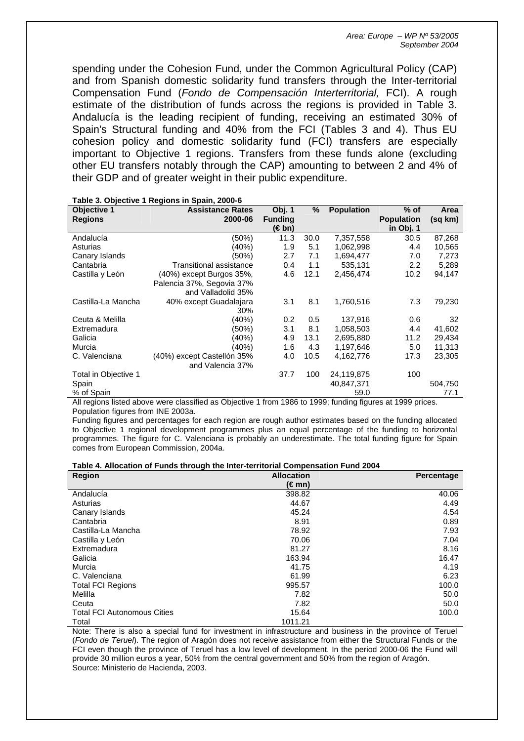spending under the Cohesion Fund, under the Common Agricultural Policy (CAP) and from Spanish domestic solidarity fund transfers through the Inter-territorial Compensation Fund (*Fondo de Compensación Interterritorial,* FCI). A rough estimate of the distribution of funds across the regions is provided in Table 3. Andalucía is the leading recipient of funding, receiving an estimated 30% of Spain's Structural funding and 40% from the FCI (Tables 3 and 4). Thus EU cohesion policy and domestic solidarity fund (FCI) transfers are especially important to Objective 1 regions. Transfers from these funds alone (excluding other EU transfers notably through the CAP) amounting to between 2 and 4% of their GDP and of greater weight in their public expenditure.

|                      | rable 3. Objective Tregions in Spani, 2000-0                                                                                            |                |      |                   |                    |         |
|----------------------|-----------------------------------------------------------------------------------------------------------------------------------------|----------------|------|-------------------|--------------------|---------|
| <b>Objective 1</b>   | <b>Assistance Rates</b>                                                                                                                 | Obj. 1         | $\%$ | <b>Population</b> | $%$ of             | Area    |
| <b>Regions</b>       | 2000-06                                                                                                                                 | <b>Funding</b> |      |                   | <b>Population</b>  | (sq km) |
|                      |                                                                                                                                         | (€bn)          |      |                   | in Obj. 1          |         |
| Andalucía            | (50%)                                                                                                                                   | 11.3           | 30.0 | 7,357,558         | 30.5               | 87,268  |
| Asturias             | (40%)                                                                                                                                   | 1.9            | 5.1  | 1,062,998         | 4.4                | 10,565  |
| Canary Islands       | (50%)                                                                                                                                   | 2.7            | 7.1  | 1,694,477         | 7.0                | 7,273   |
| Cantabria            | Transitional assistance                                                                                                                 | 0.4            | 1.1  | 535,131           | 2.2                | 5,289   |
| Castilla y León      | $(40\%)$ except Burgos $35\%$ .                                                                                                         | 4.6            | 12.1 | 2,456,474         | 10.2               | 94,147  |
|                      | Palencia 37%, Segovia 37%                                                                                                               |                |      |                   |                    |         |
|                      | and Valladolid 35%                                                                                                                      |                |      |                   |                    |         |
| Castilla-La Mancha   | 40% except Guadalajara                                                                                                                  | 3.1            | 8.1  | 1,760,516         | 7.3                | 79,230  |
|                      | 30%                                                                                                                                     |                |      |                   |                    |         |
| Ceuta & Melilla      | (40%)                                                                                                                                   | 0.2            | 0.5  | 137.916           | 0.6                | 32      |
| Extremadura          | (50%)                                                                                                                                   | 3.1            | 8.1  | 1,058,503         | 4.4                | 41,602  |
| Galicia              | (40%)                                                                                                                                   | 4.9            | 13.1 | 2,695,880         | 11.2               | 29,434  |
| Murcia               | (40%)                                                                                                                                   | 1.6            | 4.3  | 1,197,646         | 5.0                | 11,313  |
| C. Valenciana        | (40%) except Castellón 35%                                                                                                              | 4.0            | 10.5 | 4,162,776         | 17.3               | 23,305  |
|                      | and Valencia 37%                                                                                                                        |                |      |                   |                    |         |
| Total in Objective 1 |                                                                                                                                         | 37.7           | 100  | 24,119,875        | 100                |         |
| Spain                |                                                                                                                                         |                |      | 40,847,371        |                    | 504,750 |
| % of Spain           |                                                                                                                                         |                |      | 59.0              |                    | 77.1    |
|                      | All assistant that the basis correspondence $\bigcap_{n=1}^{\infty}$ and $\bigcap_{n=1}^{\infty}$ and $A \cap \bigcap_{n=1}^{\infty} A$ |                |      |                   | $-1.4000 \pm 0.00$ |         |

All regions listed above were classified as Objective 1 from 1986 to 1999; funding figures at 1999 prices. Population figures from INE 2003a.

Funding figures and percentages for each region are rough author estimates based on the funding allocated to Objective 1 regional development programmes plus an equal percentage of the funding to horizontal programmes. The figure for C. Valenciana is probably an underestimate. The total funding figure for Spain comes from European Commission, 2004a.

#### **Table 4. Allocation of Funds through the Inter-territorial Compensation Fund 2004**

| <b>Region</b>                      | <b>Allocation</b> | Percentage |
|------------------------------------|-------------------|------------|
|                                    | (€mn)             |            |
| Andalucía                          | 398.82            | 40.06      |
| Asturias                           | 44.67             | 4.49       |
| Canary Islands                     | 45.24             | 4.54       |
| Cantabria                          | 8.91              | 0.89       |
| Castilla-La Mancha                 | 78.92             | 7.93       |
| Castilla y León                    | 70.06             | 7.04       |
| Extremadura                        | 81.27             | 8.16       |
| Galicia                            | 163.94            | 16.47      |
| Murcia                             | 41.75             | 4.19       |
| C. Valenciana                      | 61.99             | 6.23       |
| <b>Total FCI Regions</b>           | 995.57            | 100.0      |
| Melilla                            | 7.82              | 50.0       |
| Ceuta                              | 7.82              | 50.0       |
| <b>Total FCI Autonomous Cities</b> | 15.64             | 100.0      |
| Total                              | 1011.21           |            |

Note: There is also a special fund for investment in infrastructure and business in the province of Teruel (*Fondo de Teruel*). The region of Aragón does not receive assistance from either the Structural Funds or the FCI even though the province of Teruel has a low level of development. In the period 2000-06 the Fund will provide 30 million euros a year, 50% from the central government and 50% from the region of Aragón. Source: Ministerio de Hacienda, 2003.

#### **Table 3. Objective 1 Regions in Spain, 2000-6**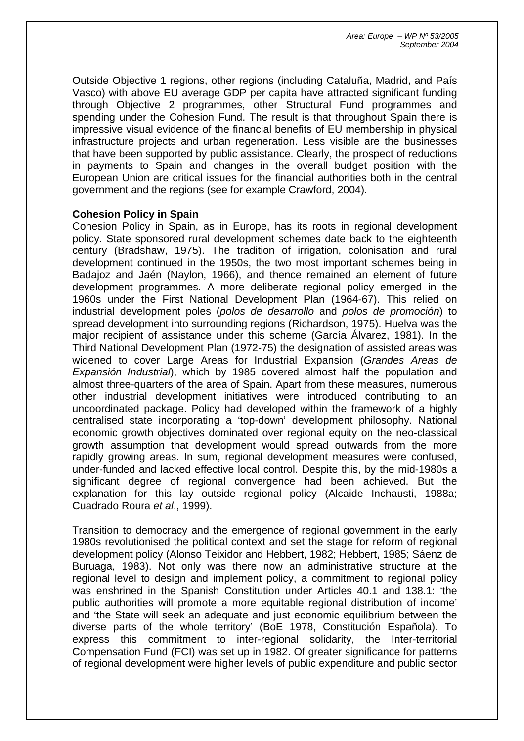Outside Objective 1 regions, other regions (including Cataluña, Madrid, and País Vasco) with above EU average GDP per capita have attracted significant funding through Objective 2 programmes, other Structural Fund programmes and spending under the Cohesion Fund. The result is that throughout Spain there is impressive visual evidence of the financial benefits of EU membership in physical infrastructure projects and urban regeneration. Less visible are the businesses that have been supported by public assistance. Clearly, the prospect of reductions in payments to Spain and changes in the overall budget position with the European Union are critical issues for the financial authorities both in the central government and the regions (see for example Crawford, 2004).

# **Cohesion Policy in Spain**

Cohesion Policy in Spain, as in Europe, has its roots in regional development policy. State sponsored rural development schemes date back to the eighteenth century (Bradshaw, 1975). The tradition of irrigation, colonisation and rural development continued in the 1950s, the two most important schemes being in Badajoz and Jaén (Naylon, 1966), and thence remained an element of future development programmes. A more deliberate regional policy emerged in the 1960s under the First National Development Plan (1964-67). This relied on industrial development poles (*polos de desarrollo* and *polos de promoción*) to spread development into surrounding regions (Richardson, 1975). Huelva was the major recipient of assistance under this scheme (García Álvarez, 1981). In the Third National Development Plan (1972-75) the designation of assisted areas was widened to cover Large Areas for Industrial Expansion (*Grandes Areas de Expansión Industrial*), which by 1985 covered almost half the population and almost three-quarters of the area of Spain. Apart from these measures, numerous other industrial development initiatives were introduced contributing to an uncoordinated package. Policy had developed within the framework of a highly centralised state incorporating a 'top-down' development philosophy. National economic growth objectives dominated over regional equity on the neo-classical growth assumption that development would spread outwards from the more rapidly growing areas. In sum, regional development measures were confused, under-funded and lacked effective local control. Despite this, by the mid-1980s a significant degree of regional convergence had been achieved. But the explanation for this lay outside regional policy (Alcaide Inchausti, 1988a; Cuadrado Roura *et al*., 1999).

Transition to democracy and the emergence of regional government in the early 1980s revolutionised the political context and set the stage for reform of regional development policy (Alonso Teixidor and Hebbert, 1982; Hebbert, 1985; Sáenz de Buruaga, 1983). Not only was there now an administrative structure at the regional level to design and implement policy, a commitment to regional policy was enshrined in the Spanish Constitution under Articles 40.1 and 138.1: 'the public authorities will promote a more equitable regional distribution of income' and 'the State will seek an adequate and just economic equilibrium between the diverse parts of the whole territory' (BoE 1978, Constitución Española). To express this commitment to inter-regional solidarity, the Inter-territorial Compensation Fund (FCI) was set up in 1982. Of greater significance for patterns of regional development were higher levels of public expenditure and public sector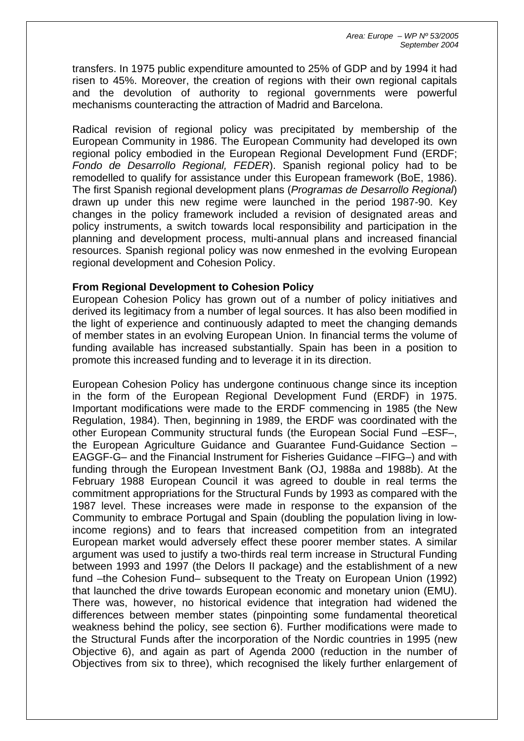transfers. In 1975 public expenditure amounted to 25% of GDP and by 1994 it had risen to 45%. Moreover, the creation of regions with their own regional capitals and the devolution of authority to regional governments were powerful mechanisms counteracting the attraction of Madrid and Barcelona.

Radical revision of regional policy was precipitated by membership of the European Community in 1986. The European Community had developed its own regional policy embodied in the European Regional Development Fund (ERDF; *Fondo de Desarrollo Regional, FEDER*). Spanish regional policy had to be remodelled to qualify for assistance under this European framework (BoE, 1986). The first Spanish regional development plans (*Programas de Desarrollo Regional*) drawn up under this new regime were launched in the period 1987-90. Key changes in the policy framework included a revision of designated areas and policy instruments, a switch towards local responsibility and participation in the planning and development process, multi-annual plans and increased financial resources. Spanish regional policy was now enmeshed in the evolving European regional development and Cohesion Policy.

## **From Regional Development to Cohesion Policy**

European Cohesion Policy has grown out of a number of policy initiatives and derived its legitimacy from a number of legal sources. It has also been modified in the light of experience and continuously adapted to meet the changing demands of member states in an evolving European Union. In financial terms the volume of funding available has increased substantially. Spain has been in a position to promote this increased funding and to leverage it in its direction.

European Cohesion Policy has undergone continuous change since its inception in the form of the European Regional Development Fund (ERDF) in 1975. Important modifications were made to the ERDF commencing in 1985 (the New Regulation, 1984). Then, beginning in 1989, the ERDF was coordinated with the other European Community structural funds (the European Social Fund –ESF–, the European Agriculture Guidance and Guarantee Fund-Guidance Section – EAGGF-G– and the Financial Instrument for Fisheries Guidance –FIFG–) and with funding through the European Investment Bank (OJ, 1988a and 1988b). At the February 1988 European Council it was agreed to double in real terms the commitment appropriations for the Structural Funds by 1993 as compared with the 1987 level. These increases were made in response to the expansion of the Community to embrace Portugal and Spain (doubling the population living in lowincome regions) and to fears that increased competition from an integrated European market would adversely effect these poorer member states. A similar argument was used to justify a two-thirds real term increase in Structural Funding between 1993 and 1997 (the Delors II package) and the establishment of a new fund –the Cohesion Fund– subsequent to the Treaty on European Union (1992) that launched the drive towards European economic and monetary union (EMU). There was, however, no historical evidence that integration had widened the differences between member states (pinpointing some fundamental theoretical weakness behind the policy, see section 6). Further modifications were made to the Structural Funds after the incorporation of the Nordic countries in 1995 (new Objective 6), and again as part of Agenda 2000 (reduction in the number of Objectives from six to three), which recognised the likely further enlargement of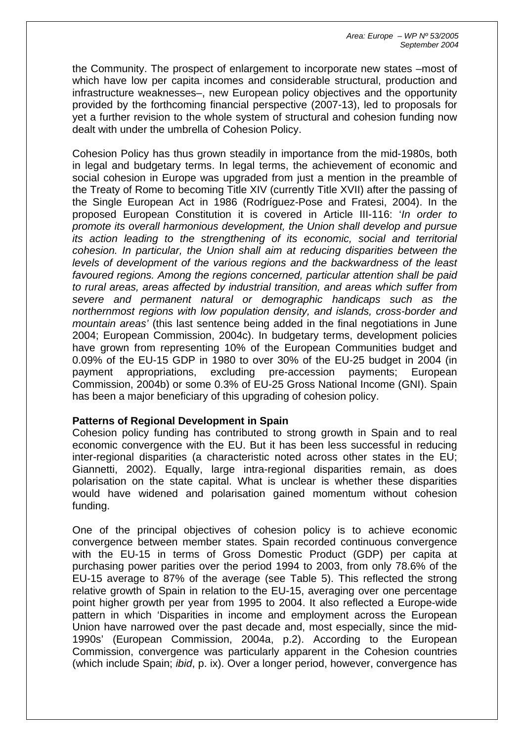the Community. The prospect of enlargement to incorporate new states –most of which have low per capita incomes and considerable structural, production and infrastructure weaknesses–, new European policy objectives and the opportunity provided by the forthcoming financial perspective (2007-13), led to proposals for yet a further revision to the whole system of structural and cohesion funding now dealt with under the umbrella of Cohesion Policy.

Cohesion Policy has thus grown steadily in importance from the mid-1980s, both in legal and budgetary terms. In legal terms, the achievement of economic and social cohesion in Europe was upgraded from just a mention in the preamble of the Treaty of Rome to becoming Title XIV (currently Title XVII) after the passing of the Single European Act in 1986 (Rodríguez-Pose and Fratesi, 2004). In the proposed European Constitution it is covered in Article III-116: '*In order to promote its overall harmonious development, the Union shall develop and pursue its action leading to the strengthening of its economic, social and territorial cohesion. In particular, the Union shall aim at reducing disparities between the levels of development of the various regions and the backwardness of the least favoured regions. Among the regions concerned, particular attention shall be paid to rural areas, areas affected by industrial transition, and areas which suffer from severe and permanent natural or demographic handicaps such as the northernmost regions with low population density, and islands, cross-border and mountain areas'* (this last sentence being added in the final negotiations in June 2004; European Commission, 2004c). In budgetary terms, development policies have grown from representing 10% of the European Communities budget and 0.09% of the EU-15 GDP in 1980 to over 30% of the EU-25 budget in 2004 (in payment appropriations, excluding pre-accession payments; European Commission, 2004b) or some 0.3% of EU-25 Gross National Income (GNI). Spain has been a major beneficiary of this upgrading of cohesion policy.

## **Patterns of Regional Development in Spain**

Cohesion policy funding has contributed to strong growth in Spain and to real economic convergence with the EU. But it has been less successful in reducing inter-regional disparities (a characteristic noted across other states in the EU; Giannetti, 2002). Equally, large intra-regional disparities remain, as does polarisation on the state capital. What is unclear is whether these disparities would have widened and polarisation gained momentum without cohesion funding.

One of the principal objectives of cohesion policy is to achieve economic convergence between member states. Spain recorded continuous convergence with the EU-15 in terms of Gross Domestic Product (GDP) per capita at purchasing power parities over the period 1994 to 2003, from only 78.6% of the EU-15 average to 87% of the average (see Table 5). This reflected the strong relative growth of Spain in relation to the EU-15, averaging over one percentage point higher growth per year from 1995 to 2004. It also reflected a Europe-wide pattern in which 'Disparities in income and employment across the European Union have narrowed over the past decade and, most especially, since the mid-1990s' (European Commission, 2004a, p.2). According to the European Commission, convergence was particularly apparent in the Cohesion countries (which include Spain; *ibid*, p. ix). Over a longer period, however, convergence has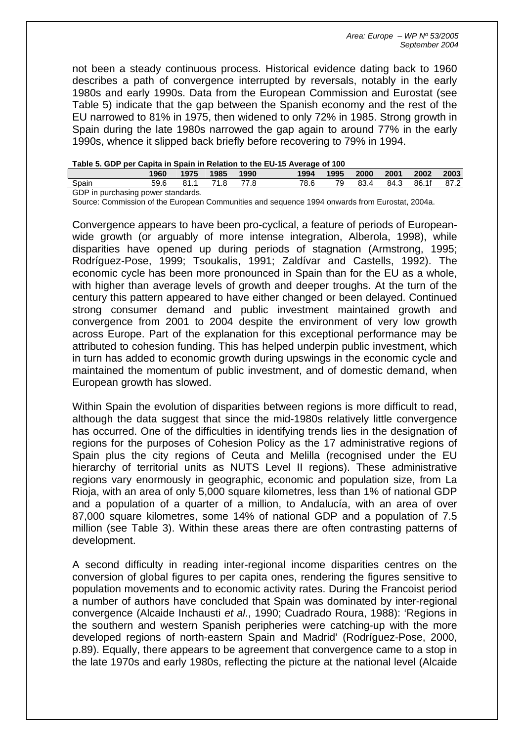not been a steady continuous process. Historical evidence dating back to 1960 describes a path of convergence interrupted by reversals, notably in the early 1980s and early 1990s. Data from the European Commission and Eurostat (see Table 5) indicate that the gap between the Spanish economy and the rest of the EU narrowed to 81% in 1975, then widened to only 72% in 1985. Strong growth in Spain during the late 1980s narrowed the gap again to around 77% in the early 1990s, whence it slipped back briefly before recovering to 79% in 1994.

| Table 5. GDP per Capita in Spain in Relation to the EU-15 Average of 100 |  |
|--------------------------------------------------------------------------|--|
|--------------------------------------------------------------------------|--|

|                                   |      |         |      |      | --   |      |      |      |       |      |
|-----------------------------------|------|---------|------|------|------|------|------|------|-------|------|
|                                   | 1960 | 1975    | 1985 | 1990 | 1994 | 1995 | 2000 | 2001 | 2002  | 2003 |
| Spain                             | 59.6 | - 81. . |      |      | 78.6 | 70.  | 83.  | 84.3 | 86.1f | 87.2 |
| GDP in nurchasing nower standards |      |         |      |      |      |      |      |      |       |      |

GDP in purchasing power standards.

Source: Commission of the European Communities and sequence 1994 onwards from Eurostat, 2004a.

Convergence appears to have been pro-cyclical, a feature of periods of Europeanwide growth (or arguably of more intense integration, Alberola, 1998), while disparities have opened up during periods of stagnation (Armstrong, 1995; Rodríguez-Pose, 1999; Tsoukalis, 1991; Zaldívar and Castells, 1992). The economic cycle has been more pronounced in Spain than for the EU as a whole, with higher than average levels of growth and deeper troughs. At the turn of the century this pattern appeared to have either changed or been delayed. Continued strong consumer demand and public investment maintained growth and convergence from 2001 to 2004 despite the environment of very low growth across Europe. Part of the explanation for this exceptional performance may be attributed to cohesion funding. This has helped underpin public investment, which in turn has added to economic growth during upswings in the economic cycle and maintained the momentum of public investment, and of domestic demand, when European growth has slowed.

Within Spain the evolution of disparities between regions is more difficult to read, although the data suggest that since the mid-1980s relatively little convergence has occurred. One of the difficulties in identifying trends lies in the designation of regions for the purposes of Cohesion Policy as the 17 administrative regions of Spain plus the city regions of Ceuta and Melilla (recognised under the EU hierarchy of territorial units as NUTS Level II regions). These administrative regions vary enormously in geographic, economic and population size, from La Rioja, with an area of only 5,000 square kilometres, less than 1% of national GDP and a population of a quarter of a million, to Andalucía, with an area of over 87,000 square kilometres, some 14% of national GDP and a population of 7.5 million (see Table 3). Within these areas there are often contrasting patterns of development.

A second difficulty in reading inter-regional income disparities centres on the conversion of global figures to per capita ones, rendering the figures sensitive to population movements and to economic activity rates. During the Francoist period a number of authors have concluded that Spain was dominated by inter-regional convergence (Alcaide Inchausti *et al*., 1990; Cuadrado Roura, 1988): 'Regions in the southern and western Spanish peripheries were catching-up with the more developed regions of north-eastern Spain and Madrid' (Rodríguez-Pose, 2000, p.89). Equally, there appears to be agreement that convergence came to a stop in the late 1970s and early 1980s, reflecting the picture at the national level (Alcaide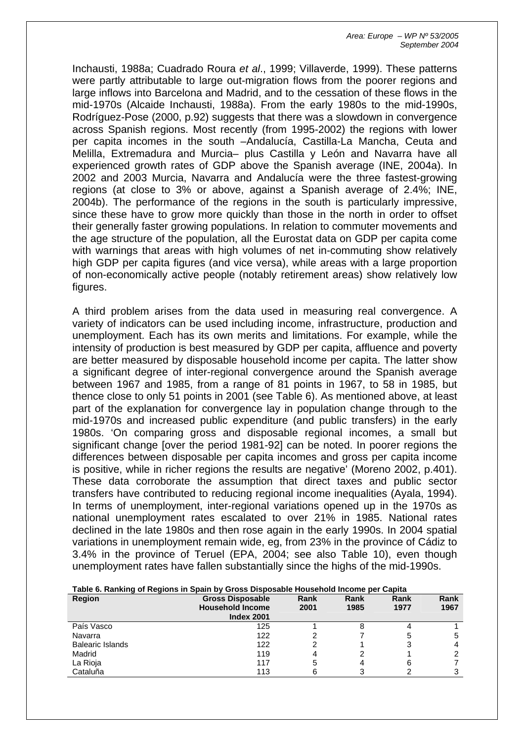Inchausti, 1988a; Cuadrado Roura *et al*., 1999; Villaverde, 1999). These patterns were partly attributable to large out-migration flows from the poorer regions and large inflows into Barcelona and Madrid, and to the cessation of these flows in the mid-1970s (Alcaide Inchausti, 1988a). From the early 1980s to the mid-1990s, Rodríguez-Pose (2000, p.92) suggests that there was a slowdown in convergence across Spanish regions. Most recently (from 1995-2002) the regions with lower per capita incomes in the south –Andalucía, Castilla-La Mancha, Ceuta and Melilla, Extremadura and Murcia– plus Castilla y León and Navarra have all experienced growth rates of GDP above the Spanish average (INE, 2004a). In 2002 and 2003 Murcia, Navarra and Andalucía were the three fastest-growing regions (at close to 3% or above, against a Spanish average of 2.4%; INE, 2004b). The performance of the regions in the south is particularly impressive, since these have to grow more quickly than those in the north in order to offset their generally faster growing populations. In relation to commuter movements and the age structure of the population, all the Eurostat data on GDP per capita come with warnings that areas with high volumes of net in-commuting show relatively high GDP per capita figures (and vice versa), while areas with a large proportion of non-economically active people (notably retirement areas) show relatively low figures.

A third problem arises from the data used in measuring real convergence. A variety of indicators can be used including income, infrastructure, production and unemployment. Each has its own merits and limitations. For example, while the intensity of production is best measured by GDP per capita, affluence and poverty are better measured by disposable household income per capita. The latter show a significant degree of inter-regional convergence around the Spanish average between 1967 and 1985, from a range of 81 points in 1967, to 58 in 1985, but thence close to only 51 points in 2001 (see Table 6). As mentioned above, at least part of the explanation for convergence lay in population change through to the mid-1970s and increased public expenditure (and public transfers) in the early 1980s. 'On comparing gross and disposable regional incomes, a small but significant change [over the period 1981-92] can be noted. In poorer regions the differences between disposable per capita incomes and gross per capita income is positive, while in richer regions the results are negative' (Moreno 2002, p.401). These data corroborate the assumption that direct taxes and public sector transfers have contributed to reducing regional income inequalities (Ayala, 1994). In terms of unemployment, inter-regional variations opened up in the 1970s as national unemployment rates escalated to over 21% in 1985. National rates declined in the late 1980s and then rose again in the early 1990s. In 2004 spatial variations in unemployment remain wide, eg, from 23% in the province of Cádiz to 3.4% in the province of Teruel (EPA, 2004; see also Table 10), even though unemployment rates have fallen substantially since the highs of the mid-1990s.

| <b>Region</b>           | <b>Gross Disposable</b><br><b>Household Income</b><br><b>Index 2001</b> | Rank<br>2001 | Rank<br>1985 | Rank<br>1977 | Rank<br>1967 |
|-------------------------|-------------------------------------------------------------------------|--------------|--------------|--------------|--------------|
| País Vasco              | 125                                                                     |              |              |              |              |
| Navarra                 | 122                                                                     |              |              |              |              |
| <b>Balearic Islands</b> | 122                                                                     |              |              |              |              |
| Madrid                  | 119                                                                     | 4            |              |              |              |
| La Rioja                | 117                                                                     |              |              |              |              |
| Cataluña                | 113                                                                     |              |              |              |              |

**Table 6. Ranking of Regions in Spain by Gross Disposable Household Income per Capita**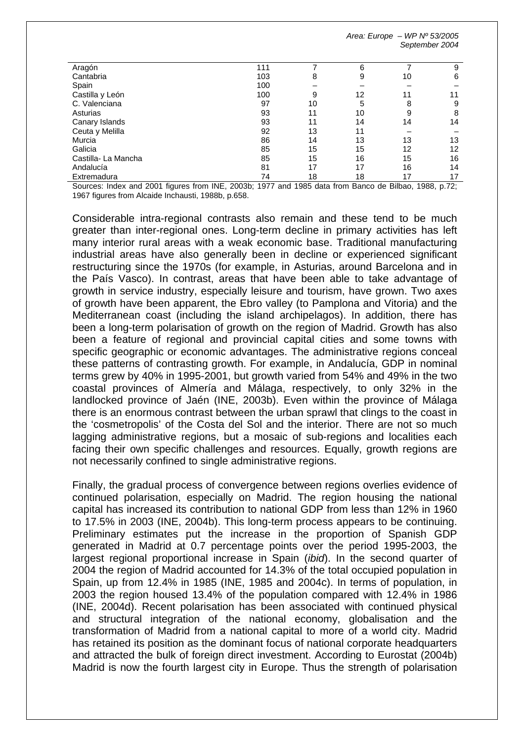| Aragón                                                                                                                                                                                                                                                                                                                                       | 111 |    | 6                         |                       | 9                        |
|----------------------------------------------------------------------------------------------------------------------------------------------------------------------------------------------------------------------------------------------------------------------------------------------------------------------------------------------|-----|----|---------------------------|-----------------------|--------------------------|
| Cantabria                                                                                                                                                                                                                                                                                                                                    | 103 | 8  | 9                         | 10                    | 6                        |
| Spain                                                                                                                                                                                                                                                                                                                                        | 100 |    |                           |                       |                          |
| Castilla y León                                                                                                                                                                                                                                                                                                                              | 100 | 9  | 12                        |                       |                          |
| C. Valenciana                                                                                                                                                                                                                                                                                                                                | 97  | 10 | 5                         | 8                     | 9                        |
| Asturias                                                                                                                                                                                                                                                                                                                                     | 93  | 11 | 10                        | 9                     | 8                        |
| Canary Islands                                                                                                                                                                                                                                                                                                                               | 93  | 11 | 14                        | 14                    | 14                       |
| Ceuta y Melilla                                                                                                                                                                                                                                                                                                                              | 92  | 13 | 11                        |                       |                          |
| Murcia                                                                                                                                                                                                                                                                                                                                       | 86  | 14 | 13                        | 13                    | 13                       |
| Galicia                                                                                                                                                                                                                                                                                                                                      | 85  | 15 | 15                        | 12                    | 12                       |
| Castilla-La Mancha                                                                                                                                                                                                                                                                                                                           | 85  | 15 | 16                        | 15                    | 16                       |
| Andalucía                                                                                                                                                                                                                                                                                                                                    | 81  | 17 | 17                        | 16                    | 14                       |
| Extremadura                                                                                                                                                                                                                                                                                                                                  | 74  | 18 | 18                        | 17                    | 17                       |
| $\Omega$ $\qquad$ $\qquad$ $\qquad$ $\qquad$ $\qquad$ $\qquad$ $\qquad$ $\qquad$ $\qquad$ $\qquad$ $\qquad$ $\qquad$ $\qquad$ $\qquad$ $\qquad$ $\qquad$ $\qquad$ $\qquad$ $\qquad$ $\qquad$ $\qquad$ $\qquad$ $\qquad$ $\qquad$ $\qquad$ $\qquad$ $\qquad$ $\qquad$ $\qquad$ $\qquad$ $\qquad$ $\qquad$ $\qquad$ $\qquad$ $\qquad$ $\qquad$ |     |    | $1077$ $1007$ $1$ $1$ $1$ | $\sim$ $\sim$<br>1000 | $\overline{\phantom{a}}$ |

Sources: Index and 2001 figures from INE, 2003b; 1977 and 1985 data from Banco de Bilbao, 1988, p.72; 1967 figures from Alcaide Inchausti, 1988b, p.658.

Considerable intra-regional contrasts also remain and these tend to be much greater than inter-regional ones. Long-term decline in primary activities has left many interior rural areas with a weak economic base. Traditional manufacturing industrial areas have also generally been in decline or experienced significant restructuring since the 1970s (for example, in Asturias, around Barcelona and in the País Vasco). In contrast, areas that have been able to take advantage of growth in service industry, especially leisure and tourism, have grown. Two axes of growth have been apparent, the Ebro valley (to Pamplona and Vitoria) and the Mediterranean coast (including the island archipelagos). In addition, there has been a long-term polarisation of growth on the region of Madrid. Growth has also been a feature of regional and provincial capital cities and some towns with specific geographic or economic advantages. The administrative regions conceal these patterns of contrasting growth. For example, in Andalucía, GDP in nominal terms grew by 40% in 1995-2001, but growth varied from 54% and 49% in the two coastal provinces of Almería and Málaga, respectively, to only 32% in the landlocked province of Jaén (INE, 2003b). Even within the province of Málaga there is an enormous contrast between the urban sprawl that clings to the coast in the 'cosmetropolis' of the Costa del Sol and the interior. There are not so much lagging administrative regions, but a mosaic of sub-regions and localities each facing their own specific challenges and resources. Equally, growth regions are not necessarily confined to single administrative regions.

Finally, the gradual process of convergence between regions overlies evidence of continued polarisation, especially on Madrid. The region housing the national capital has increased its contribution to national GDP from less than 12% in 1960 to 17.5% in 2003 (INE, 2004b). This long-term process appears to be continuing. Preliminary estimates put the increase in the proportion of Spanish GDP generated in Madrid at 0.7 percentage points over the period 1995-2003, the largest regional proportional increase in Spain (*ibid*). In the second quarter of 2004 the region of Madrid accounted for 14.3% of the total occupied population in Spain, up from 12.4% in 1985 (INE, 1985 and 2004c). In terms of population, in 2003 the region housed 13.4% of the population compared with 12.4% in 1986 (INE, 2004d). Recent polarisation has been associated with continued physical and structural integration of the national economy, globalisation and the transformation of Madrid from a national capital to more of a world city. Madrid has retained its position as the dominant focus of national corporate headquarters and attracted the bulk of foreign direct investment. According to Eurostat (2004b) Madrid is now the fourth largest city in Europe. Thus the strength of polarisation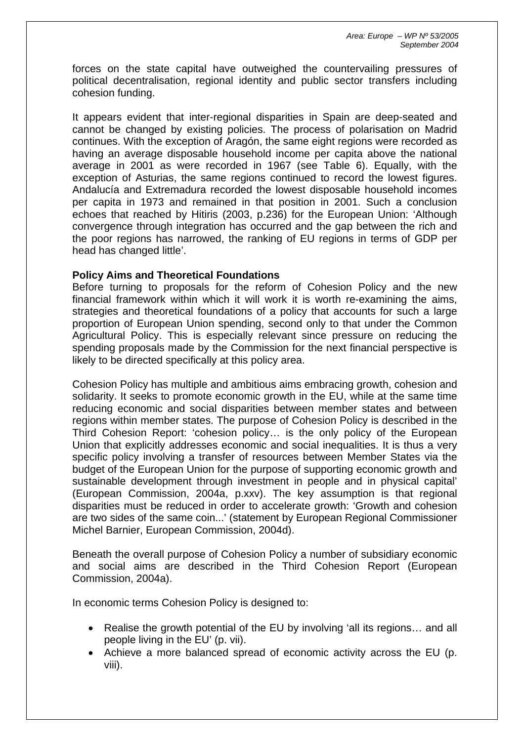forces on the state capital have outweighed the countervailing pressures of political decentralisation, regional identity and public sector transfers including cohesion funding.

It appears evident that inter-regional disparities in Spain are deep-seated and cannot be changed by existing policies. The process of polarisation on Madrid continues. With the exception of Aragón, the same eight regions were recorded as having an average disposable household income per capita above the national average in 2001 as were recorded in 1967 (see Table 6). Equally, with the exception of Asturias, the same regions continued to record the lowest figures. Andalucía and Extremadura recorded the lowest disposable household incomes per capita in 1973 and remained in that position in 2001. Such a conclusion echoes that reached by Hitiris (2003, p.236) for the European Union: 'Although convergence through integration has occurred and the gap between the rich and the poor regions has narrowed, the ranking of EU regions in terms of GDP per head has changed little'.

# **Policy Aims and Theoretical Foundations**

Before turning to proposals for the reform of Cohesion Policy and the new financial framework within which it will work it is worth re-examining the aims, strategies and theoretical foundations of a policy that accounts for such a large proportion of European Union spending, second only to that under the Common Agricultural Policy. This is especially relevant since pressure on reducing the spending proposals made by the Commission for the next financial perspective is likely to be directed specifically at this policy area.

Cohesion Policy has multiple and ambitious aims embracing growth, cohesion and solidarity. It seeks to promote economic growth in the EU, while at the same time reducing economic and social disparities between member states and between regions within member states. The purpose of Cohesion Policy is described in the Third Cohesion Report: 'cohesion policy… is the only policy of the European Union that explicitly addresses economic and social inequalities. It is thus a very specific policy involving a transfer of resources between Member States via the budget of the European Union for the purpose of supporting economic growth and sustainable development through investment in people and in physical capital' (European Commission, 2004a, p.xxv). The key assumption is that regional disparities must be reduced in order to accelerate growth: 'Growth and cohesion are two sides of the same coin...' (statement by European Regional Commissioner Michel Barnier, European Commission, 2004d).

Beneath the overall purpose of Cohesion Policy a number of subsidiary economic and social aims are described in the Third Cohesion Report (European Commission, 2004a).

In economic terms Cohesion Policy is designed to:

- Realise the growth potential of the EU by involving 'all its regions… and all people living in the EU' (p. vii).
- Achieve a more balanced spread of economic activity across the EU (p. viii).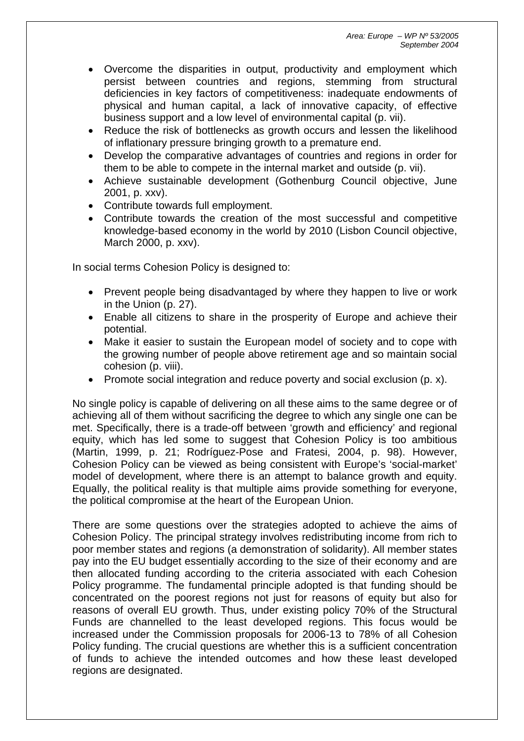- Overcome the disparities in output, productivity and employment which persist between countries and regions, stemming from structural deficiencies in key factors of competitiveness: inadequate endowments of physical and human capital, a lack of innovative capacity, of effective business support and a low level of environmental capital (p. vii).
- Reduce the risk of bottlenecks as growth occurs and lessen the likelihood of inflationary pressure bringing growth to a premature end.
- Develop the comparative advantages of countries and regions in order for them to be able to compete in the internal market and outside (p. vii).
- Achieve sustainable development (Gothenburg Council objective, June 2001, p. xxv).
- Contribute towards full employment.
- Contribute towards the creation of the most successful and competitive knowledge-based economy in the world by 2010 (Lisbon Council objective, March 2000, p. xxv).

In social terms Cohesion Policy is designed to:

- Prevent people being disadvantaged by where they happen to live or work in the Union (p. 27).
- Enable all citizens to share in the prosperity of Europe and achieve their potential.
- Make it easier to sustain the European model of society and to cope with the growing number of people above retirement age and so maintain social cohesion (p. viii).
- Promote social integration and reduce poverty and social exclusion (p. x).

No single policy is capable of delivering on all these aims to the same degree or of achieving all of them without sacrificing the degree to which any single one can be met. Specifically, there is a trade-off between 'growth and efficiency' and regional equity, which has led some to suggest that Cohesion Policy is too ambitious (Martin, 1999, p. 21; Rodríguez-Pose and Fratesi, 2004, p. 98). However, Cohesion Policy can be viewed as being consistent with Europe's 'social-market' model of development, where there is an attempt to balance growth and equity. Equally, the political reality is that multiple aims provide something for everyone, the political compromise at the heart of the European Union.

There are some questions over the strategies adopted to achieve the aims of Cohesion Policy. The principal strategy involves redistributing income from rich to poor member states and regions (a demonstration of solidarity). All member states pay into the EU budget essentially according to the size of their economy and are then allocated funding according to the criteria associated with each Cohesion Policy programme. The fundamental principle adopted is that funding should be concentrated on the poorest regions not just for reasons of equity but also for reasons of overall EU growth. Thus, under existing policy 70% of the Structural Funds are channelled to the least developed regions. This focus would be increased under the Commission proposals for 2006-13 to 78% of all Cohesion Policy funding. The crucial questions are whether this is a sufficient concentration of funds to achieve the intended outcomes and how these least developed regions are designated.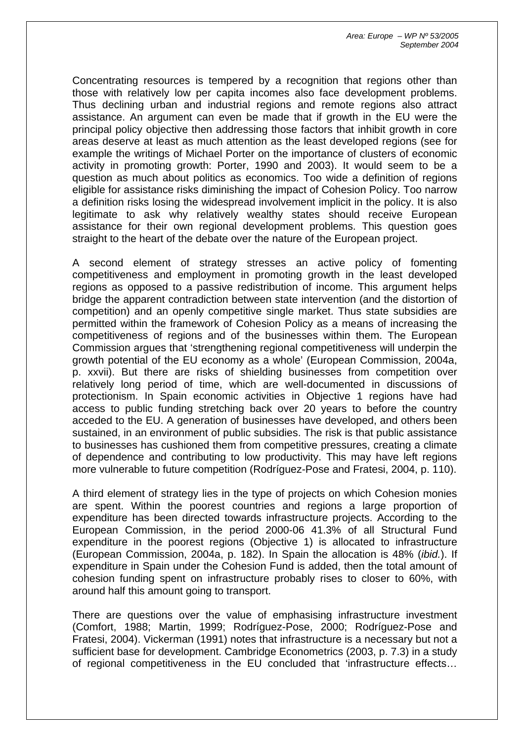Concentrating resources is tempered by a recognition that regions other than those with relatively low per capita incomes also face development problems. Thus declining urban and industrial regions and remote regions also attract assistance. An argument can even be made that if growth in the EU were the principal policy objective then addressing those factors that inhibit growth in core areas deserve at least as much attention as the least developed regions (see for example the writings of Michael Porter on the importance of clusters of economic activity in promoting growth: Porter, 1990 and 2003). It would seem to be a question as much about politics as economics. Too wide a definition of regions eligible for assistance risks diminishing the impact of Cohesion Policy. Too narrow a definition risks losing the widespread involvement implicit in the policy. It is also legitimate to ask why relatively wealthy states should receive European assistance for their own regional development problems. This question goes straight to the heart of the debate over the nature of the European project.

A second element of strategy stresses an active policy of fomenting competitiveness and employment in promoting growth in the least developed regions as opposed to a passive redistribution of income. This argument helps bridge the apparent contradiction between state intervention (and the distortion of competition) and an openly competitive single market. Thus state subsidies are permitted within the framework of Cohesion Policy as a means of increasing the competitiveness of regions and of the businesses within them. The European Commission argues that 'strengthening regional competitiveness will underpin the growth potential of the EU economy as a whole' (European Commission, 2004a, p. xxvii). But there are risks of shielding businesses from competition over relatively long period of time, which are well-documented in discussions of protectionism. In Spain economic activities in Objective 1 regions have had access to public funding stretching back over 20 years to before the country acceded to the EU. A generation of businesses have developed, and others been sustained, in an environment of public subsidies. The risk is that public assistance to businesses has cushioned them from competitive pressures, creating a climate of dependence and contributing to low productivity. This may have left regions more vulnerable to future competition (Rodríguez-Pose and Fratesi, 2004, p. 110).

A third element of strategy lies in the type of projects on which Cohesion monies are spent. Within the poorest countries and regions a large proportion of expenditure has been directed towards infrastructure projects. According to the European Commission, in the period 2000-06 41.3% of all Structural Fund expenditure in the poorest regions (Objective 1) is allocated to infrastructure (European Commission, 2004a, p. 182). In Spain the allocation is 48% (*ibid.*). If expenditure in Spain under the Cohesion Fund is added, then the total amount of cohesion funding spent on infrastructure probably rises to closer to 60%, with around half this amount going to transport.

There are questions over the value of emphasising infrastructure investment (Comfort, 1988; Martin, 1999; Rodríguez-Pose, 2000; Rodríguez-Pose and Fratesi, 2004). Vickerman (1991) notes that infrastructure is a necessary but not a sufficient base for development. Cambridge Econometrics (2003, p. 7.3) in a study of regional competitiveness in the EU concluded that 'infrastructure effects…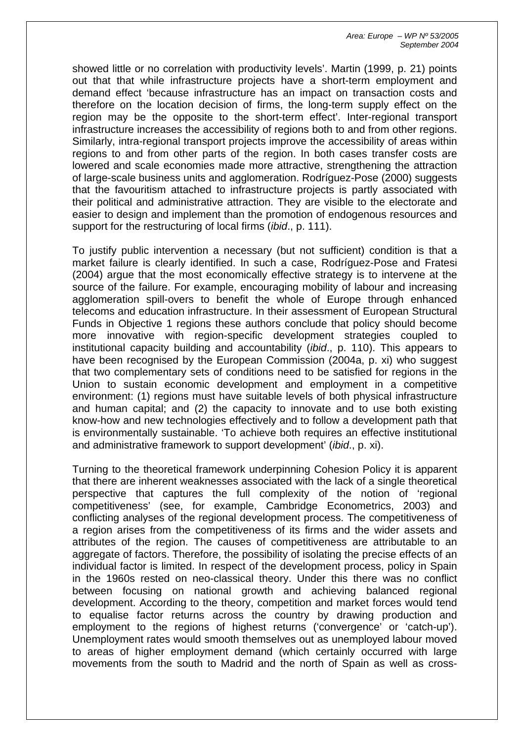showed little or no correlation with productivity levels'. Martin (1999, p. 21) points out that that while infrastructure projects have a short-term employment and demand effect 'because infrastructure has an impact on transaction costs and therefore on the location decision of firms, the long-term supply effect on the region may be the opposite to the short-term effect'. Inter-regional transport infrastructure increases the accessibility of regions both to and from other regions. Similarly, intra-regional transport projects improve the accessibility of areas within regions to and from other parts of the region. In both cases transfer costs are lowered and scale economies made more attractive, strengthening the attraction of large-scale business units and agglomeration. Rodríguez-Pose (2000) suggests that the favouritism attached to infrastructure projects is partly associated with their political and administrative attraction. They are visible to the electorate and easier to design and implement than the promotion of endogenous resources and support for the restructuring of local firms (*ibid*., p. 111).

To justify public intervention a necessary (but not sufficient) condition is that a market failure is clearly identified. In such a case, Rodríguez-Pose and Fratesi (2004) argue that the most economically effective strategy is to intervene at the source of the failure. For example, encouraging mobility of labour and increasing agglomeration spill-overs to benefit the whole of Europe through enhanced telecoms and education infrastructure. In their assessment of European Structural Funds in Objective 1 regions these authors conclude that policy should become more innovative with region-specific development strategies coupled to institutional capacity building and accountability (*ibid*., p. 110). This appears to have been recognised by the European Commission (2004a, p. xi) who suggest that two complementary sets of conditions need to be satisfied for regions in the Union to sustain economic development and employment in a competitive environment: (1) regions must have suitable levels of both physical infrastructure and human capital; and (2) the capacity to innovate and to use both existing know-how and new technologies effectively and to follow a development path that is environmentally sustainable. 'To achieve both requires an effective institutional and administrative framework to support development' (*ibid*., p. xi).

Turning to the theoretical framework underpinning Cohesion Policy it is apparent that there are inherent weaknesses associated with the lack of a single theoretical perspective that captures the full complexity of the notion of 'regional competitiveness' (see, for example, Cambridge Econometrics, 2003) and conflicting analyses of the regional development process. The competitiveness of a region arises from the competitiveness of its firms and the wider assets and attributes of the region. The causes of competitiveness are attributable to an aggregate of factors. Therefore, the possibility of isolating the precise effects of an individual factor is limited. In respect of the development process, policy in Spain in the 1960s rested on neo-classical theory. Under this there was no conflict between focusing on national growth and achieving balanced regional development. According to the theory, competition and market forces would tend to equalise factor returns across the country by drawing production and employment to the regions of highest returns ('convergence' or 'catch-up'). Unemployment rates would smooth themselves out as unemployed labour moved to areas of higher employment demand (which certainly occurred with large movements from the south to Madrid and the north of Spain as well as cross-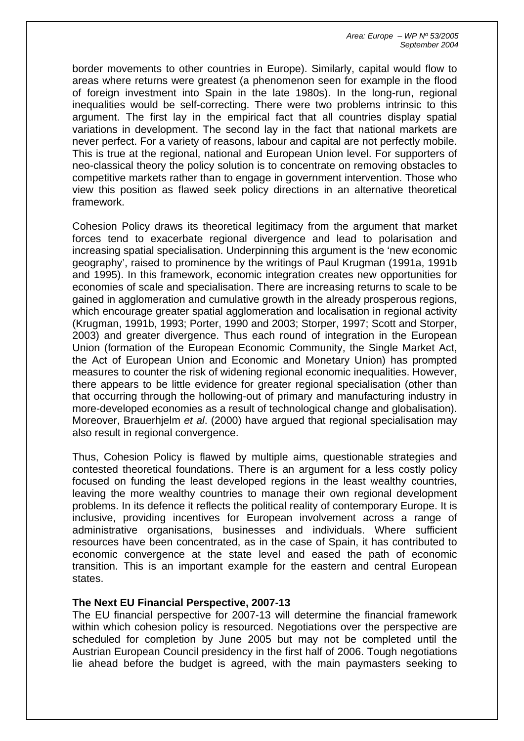border movements to other countries in Europe). Similarly, capital would flow to areas where returns were greatest (a phenomenon seen for example in the flood of foreign investment into Spain in the late 1980s). In the long-run, regional inequalities would be self-correcting. There were two problems intrinsic to this argument. The first lay in the empirical fact that all countries display spatial variations in development. The second lay in the fact that national markets are never perfect. For a variety of reasons, labour and capital are not perfectly mobile. This is true at the regional, national and European Union level. For supporters of neo-classical theory the policy solution is to concentrate on removing obstacles to competitive markets rather than to engage in government intervention. Those who view this position as flawed seek policy directions in an alternative theoretical framework.

Cohesion Policy draws its theoretical legitimacy from the argument that market forces tend to exacerbate regional divergence and lead to polarisation and increasing spatial specialisation. Underpinning this argument is the 'new economic geography', raised to prominence by the writings of Paul Krugman (1991a, 1991b and 1995). In this framework, economic integration creates new opportunities for economies of scale and specialisation. There are increasing returns to scale to be gained in agglomeration and cumulative growth in the already prosperous regions, which encourage greater spatial agglomeration and localisation in regional activity (Krugman, 1991b, 1993; Porter, 1990 and 2003; Storper, 1997; Scott and Storper, 2003) and greater divergence. Thus each round of integration in the European Union (formation of the European Economic Community, the Single Market Act, the Act of European Union and Economic and Monetary Union) has prompted measures to counter the risk of widening regional economic inequalities. However, there appears to be little evidence for greater regional specialisation (other than that occurring through the hollowing-out of primary and manufacturing industry in more-developed economies as a result of technological change and globalisation). Moreover, Brauerhjelm *et al*. (2000) have argued that regional specialisation may also result in regional convergence.

Thus, Cohesion Policy is flawed by multiple aims, questionable strategies and contested theoretical foundations. There is an argument for a less costly policy focused on funding the least developed regions in the least wealthy countries, leaving the more wealthy countries to manage their own regional development problems. In its defence it reflects the political reality of contemporary Europe. It is inclusive, providing incentives for European involvement across a range of administrative organisations, businesses and individuals. Where sufficient resources have been concentrated, as in the case of Spain, it has contributed to economic convergence at the state level and eased the path of economic transition. This is an important example for the eastern and central European states.

## **The Next EU Financial Perspective, 2007-13**

The EU financial perspective for 2007-13 will determine the financial framework within which cohesion policy is resourced. Negotiations over the perspective are scheduled for completion by June 2005 but may not be completed until the Austrian European Council presidency in the first half of 2006. Tough negotiations lie ahead before the budget is agreed, with the main paymasters seeking to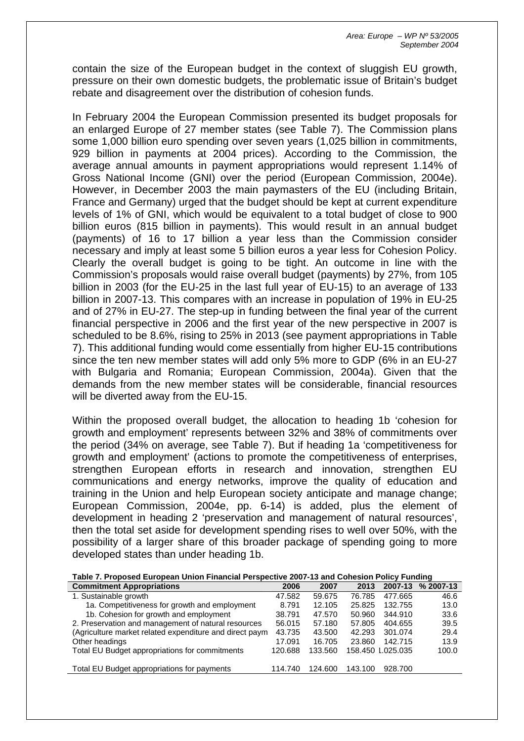contain the size of the European budget in the context of sluggish EU growth, pressure on their own domestic budgets, the problematic issue of Britain's budget rebate and disagreement over the distribution of cohesion funds.

In February 2004 the European Commission presented its budget proposals for an enlarged Europe of 27 member states (see Table 7). The Commission plans some 1,000 billion euro spending over seven years (1,025 billion in commitments, 929 billion in payments at 2004 prices). According to the Commission, the average annual amounts in payment appropriations would represent 1.14% of Gross National Income (GNI) over the period (European Commission, 2004e). However, in December 2003 the main paymasters of the EU (including Britain, France and Germany) urged that the budget should be kept at current expenditure levels of 1% of GNI, which would be equivalent to a total budget of close to 900 billion euros (815 billion in payments). This would result in an annual budget (payments) of 16 to 17 billion a year less than the Commission consider necessary and imply at least some 5 billion euros a year less for Cohesion Policy. Clearly the overall budget is going to be tight. An outcome in line with the Commission's proposals would raise overall budget (payments) by 27%, from 105 billion in 2003 (for the EU-25 in the last full year of EU-15) to an average of 133 billion in 2007-13. This compares with an increase in population of 19% in EU-25 and of 27% in EU-27. The step-up in funding between the final year of the current financial perspective in 2006 and the first year of the new perspective in 2007 is scheduled to be 8.6%, rising to 25% in 2013 (see payment appropriations in Table 7). This additional funding would come essentially from higher EU-15 contributions since the ten new member states will add only 5% more to GDP (6% in an EU-27 with Bulgaria and Romania; European Commission, 2004a). Given that the demands from the new member states will be considerable, financial resources will be diverted away from the EU-15.

Within the proposed overall budget, the allocation to heading 1b 'cohesion for growth and employment' represents between 32% and 38% of commitments over the period (34% on average, see Table 7). But if heading 1a 'competitiveness for growth and employment' (actions to promote the competitiveness of enterprises, strengthen European efforts in research and innovation, strengthen EU communications and energy networks, improve the quality of education and training in the Union and help European society anticipate and manage change; European Commission, 2004e, pp. 6-14) is added, plus the element of development in heading 2 'preservation and management of natural resources', then the total set aside for development spending rises to well over 50%, with the possibility of a larger share of this broader package of spending going to more developed states than under heading 1b.

|  | Table 7. Proposed European Union Financial Perspective 2007-13 and Cohesion Policy Funding |
|--|--------------------------------------------------------------------------------------------|
|  |                                                                                            |

| <b>Commitment Appropriations</b>                        | 2006    | 2007    | 2013    | 2007-13           | % 2007-13 |
|---------------------------------------------------------|---------|---------|---------|-------------------|-----------|
| 1. Sustainable growth                                   | 47.582  | 59.675  | 76.785  | 477.665           | 46.6      |
| 1a. Competitiveness for growth and employment           | 8.791   | 12.105  | 25.825  | 132.755           | 13.0      |
| 1b. Cohesion for growth and employment                  | 38.791  | 47.570  | 50.960  | 344.910           | 33.6      |
| 2. Preservation and management of natural resources     | 56.015  | 57.180  | 57.805  | 404.655           | 39.5      |
| (Agriculture market related expenditure and direct paym | 43.735  | 43.500  | 42.293  | 301.074           | 29.4      |
| Other headings                                          | 17.091  | 16.705  | 23.860  | 142.715           | 13.9      |
| Total EU Budget appropriations for commitments          | 120.688 | 133.560 |         | 158.450 1.025.035 | 100.0     |
| Total EU Budget appropriations for payments             | 114.740 | 124.600 | 143.100 | 928.700           |           |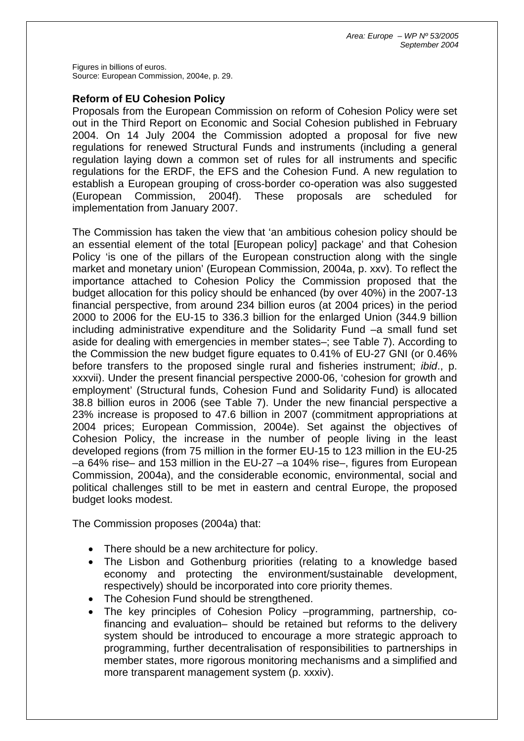Figures in billions of euros. Source: European Commission, 2004e, p. 29.

# **Reform of EU Cohesion Policy**

Proposals from the European Commission on reform of Cohesion Policy were set out in the Third Report on Economic and Social Cohesion published in February 2004. On 14 July 2004 the Commission adopted a proposal for five new regulations for renewed Structural Funds and instruments (including a general regulation laying down a common set of rules for all instruments and specific regulations for the ERDF, the EFS and the Cohesion Fund. A new regulation to establish a European grouping of cross-border co-operation was also suggested (European Commission, 2004f). These proposals are scheduled for implementation from January 2007.

The Commission has taken the view that 'an ambitious cohesion policy should be an essential element of the total [European policy] package' and that Cohesion Policy 'is one of the pillars of the European construction along with the single market and monetary union' (European Commission, 2004a, p. xxv). To reflect the importance attached to Cohesion Policy the Commission proposed that the budget allocation for this policy should be enhanced (by over 40%) in the 2007-13 financial perspective, from around 234 billion euros (at 2004 prices) in the period 2000 to 2006 for the EU-15 to 336.3 billion for the enlarged Union (344.9 billion including administrative expenditure and the Solidarity Fund –a small fund set aside for dealing with emergencies in member states–; see Table 7). According to the Commission the new budget figure equates to 0.41% of EU-27 GNI (or 0.46% before transfers to the proposed single rural and fisheries instrument; *ibid*., p. xxxvii). Under the present financial perspective 2000-06, 'cohesion for growth and employment' (Structural funds, Cohesion Fund and Solidarity Fund) is allocated 38.8 billion euros in 2006 (see Table 7). Under the new financial perspective a 23% increase is proposed to 47.6 billion in 2007 (commitment appropriations at 2004 prices; European Commission, 2004e). Set against the objectives of Cohesion Policy, the increase in the number of people living in the least developed regions (from 75 million in the former EU-15 to 123 million in the EU-25 –a 64% rise– and 153 million in the EU-27 –a 104% rise–, figures from European Commission, 2004a), and the considerable economic, environmental, social and political challenges still to be met in eastern and central Europe, the proposed budget looks modest.

The Commission proposes (2004a) that:

- There should be a new architecture for policy.
- The Lisbon and Gothenburg priorities (relating to a knowledge based economy and protecting the environment/sustainable development, respectively) should be incorporated into core priority themes.
- The Cohesion Fund should be strengthened.
- The key principles of Cohesion Policy –programming, partnership, cofinancing and evaluation– should be retained but reforms to the delivery system should be introduced to encourage a more strategic approach to programming, further decentralisation of responsibilities to partnerships in member states, more rigorous monitoring mechanisms and a simplified and more transparent management system (p. xxxiv).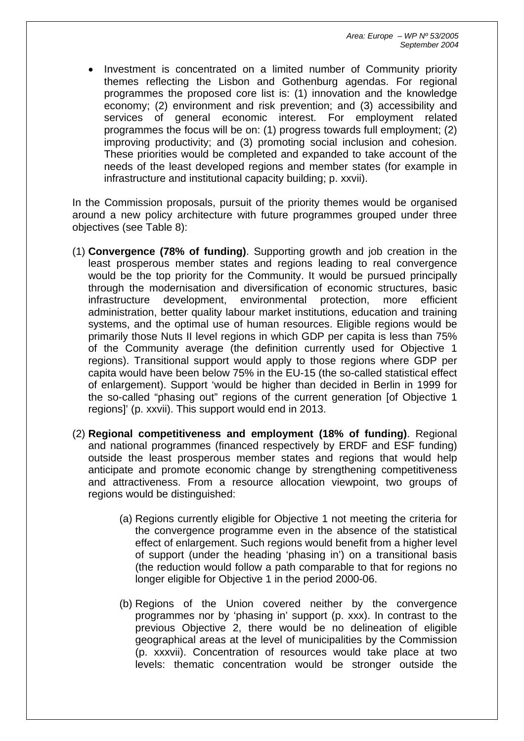• Investment is concentrated on a limited number of Community priority themes reflecting the Lisbon and Gothenburg agendas. For regional programmes the proposed core list is: (1) innovation and the knowledge economy; (2) environment and risk prevention; and (3) accessibility and services of general economic interest. For employment related programmes the focus will be on: (1) progress towards full employment; (2) improving productivity; and (3) promoting social inclusion and cohesion. These priorities would be completed and expanded to take account of the needs of the least developed regions and member states (for example in infrastructure and institutional capacity building; p. xxvii).

In the Commission proposals, pursuit of the priority themes would be organised around a new policy architecture with future programmes grouped under three objectives (see Table 8):

- (1) **Convergence (78% of funding)**. Supporting growth and job creation in the least prosperous member states and regions leading to real convergence would be the top priority for the Community. It would be pursued principally through the modernisation and diversification of economic structures, basic infrastructure development, environmental protection, more efficient administration, better quality labour market institutions, education and training systems, and the optimal use of human resources. Eligible regions would be primarily those Nuts II level regions in which GDP per capita is less than 75% of the Community average (the definition currently used for Objective 1 regions). Transitional support would apply to those regions where GDP per capita would have been below 75% in the EU-15 (the so-called statistical effect of enlargement). Support 'would be higher than decided in Berlin in 1999 for the so-called "phasing out" regions of the current generation [of Objective 1 regions]' (p. xxvii). This support would end in 2013.
- (2) **Regional competitiveness and employment (18% of funding)**. Regional and national programmes (financed respectively by ERDF and ESF funding) outside the least prosperous member states and regions that would help anticipate and promote economic change by strengthening competitiveness and attractiveness. From a resource allocation viewpoint, two groups of regions would be distinguished:
	- (a) Regions currently eligible for Objective 1 not meeting the criteria for the convergence programme even in the absence of the statistical effect of enlargement. Such regions would benefit from a higher level of support (under the heading 'phasing in') on a transitional basis (the reduction would follow a path comparable to that for regions no longer eligible for Objective 1 in the period 2000-06.
	- (b) Regions of the Union covered neither by the convergence programmes nor by 'phasing in' support (p. xxx). In contrast to the previous Objective 2, there would be no delineation of eligible geographical areas at the level of municipalities by the Commission (p. xxxvii). Concentration of resources would take place at two levels: thematic concentration would be stronger outside the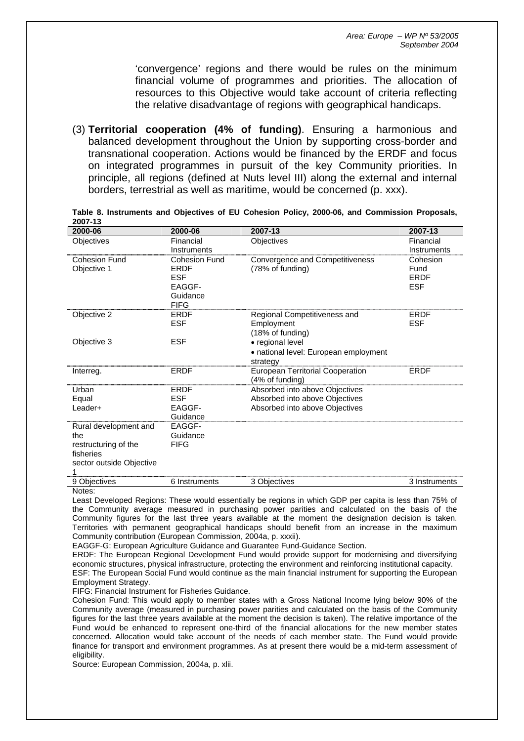'convergence' regions and there would be rules on the minimum financial volume of programmes and priorities. The allocation of resources to this Objective would take account of criteria reflecting the relative disadvantage of regions with geographical handicaps.

(3) **Territorial cooperation (4% of funding)**. Ensuring a harmonious and balanced development throughout the Union by supporting cross-border and transnational cooperation. Actions would be financed by the ERDF and focus on integrated programmes in pursuit of the key Community priorities. In principle, all regions (defined at Nuts level III) along the external and internal borders, terrestrial as well as maritime, would be concerned (p. xxx).

| 2000-06                  | 2000-06       | 2007-13                                                    | 2007-13       |
|--------------------------|---------------|------------------------------------------------------------|---------------|
| Objectives               | Financial     | Objectives                                                 | Financial     |
|                          | Instruments   |                                                            | Instruments   |
| <b>Cohesion Fund</b>     | Cohesion Fund | Convergence and Competitiveness                            | Cohesion      |
| Objective 1              | ERDF          | (78% of funding)                                           | Fund          |
|                          | <b>ESF</b>    |                                                            | <b>ERDF</b>   |
|                          | EAGGF-        |                                                            | <b>ESF</b>    |
|                          | Guidance      |                                                            |               |
|                          | <b>FIFG</b>   |                                                            |               |
| Objective 2              | ERDF          | Regional Competitiveness and                               | <b>ERDF</b>   |
|                          | <b>ESF</b>    | Employment                                                 | <b>ESF</b>    |
|                          |               | (18% of funding)                                           |               |
| Objective 3              | <b>ESF</b>    | • regional level                                           |               |
|                          |               | • national level: European employment                      |               |
|                          |               | strategy                                                   |               |
| Interreg.                | <b>ERDF</b>   | <b>European Territorial Cooperation</b><br>(4% of funding) | <b>ERDF</b>   |
| Urban                    | <b>ERDF</b>   | Absorbed into above Objectives                             |               |
| Equal                    | <b>ESF</b>    | Absorbed into above Objectives                             |               |
| Leader+                  | EAGGF-        | Absorbed into above Objectives                             |               |
|                          | Guidance      |                                                            |               |
| Rural development and    | EAGGF-        |                                                            |               |
| the                      | Guidance      |                                                            |               |
| restructuring of the     | <b>FIFG</b>   |                                                            |               |
| fisheries                |               |                                                            |               |
| sector outside Objective |               |                                                            |               |
| 1                        |               |                                                            |               |
| 9 Objectives             | 6 Instruments | 3 Objectives                                               | 3 Instruments |

**Table 8. Instruments and Objectives of EU Cohesion Policy, 2000-06, and Commission Proposals, 2007-13**

Least Developed Regions: These would essentially be regions in which GDP per capita is less than 75% of the Community average measured in purchasing power parities and calculated on the basis of the Community figures for the last three years available at the moment the designation decision is taken. Territories with permanent geographical handicaps should benefit from an increase in the maximum Community contribution (European Commission, 2004a, p. xxxii).

EAGGF-G: European Agriculture Guidance and Guarantee Fund-Guidance Section.

ERDF: The European Regional Development Fund would provide support for modernising and diversifying economic structures, physical infrastructure, protecting the environment and reinforcing institutional capacity. ESF: The European Social Fund would continue as the main financial instrument for supporting the European Employment Strategy.

FIFG: Financial Instrument for Fisheries Guidance.

Cohesion Fund: This would apply to member states with a Gross National Income lying below 90% of the Community average (measured in purchasing power parities and calculated on the basis of the Community figures for the last three years available at the moment the decision is taken). The relative importance of the Fund would be enhanced to represent one-third of the financial allocations for the new member states concerned. Allocation would take account of the needs of each member state. The Fund would provide finance for transport and environment programmes. As at present there would be a mid-term assessment of eligibility

Source: European Commission, 2004a, p. xlii.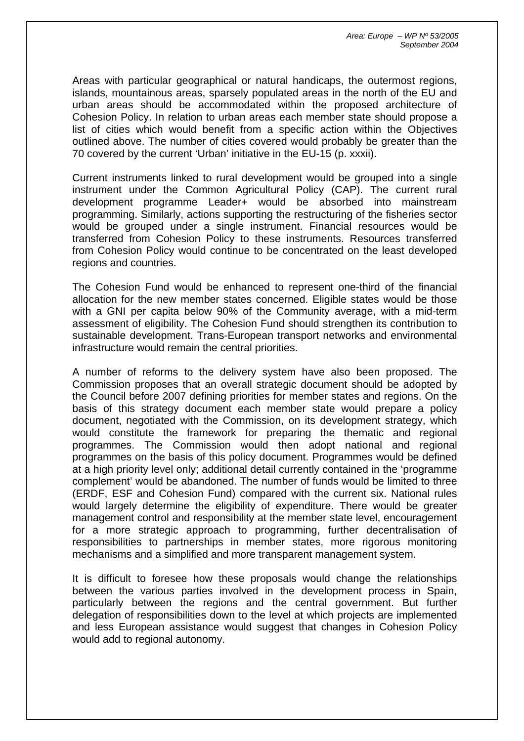Areas with particular geographical or natural handicaps, the outermost regions, islands, mountainous areas, sparsely populated areas in the north of the EU and urban areas should be accommodated within the proposed architecture of Cohesion Policy. In relation to urban areas each member state should propose a list of cities which would benefit from a specific action within the Objectives outlined above. The number of cities covered would probably be greater than the 70 covered by the current 'Urban' initiative in the EU-15 (p. xxxii).

Current instruments linked to rural development would be grouped into a single instrument under the Common Agricultural Policy (CAP). The current rural development programme Leader+ would be absorbed into mainstream programming. Similarly, actions supporting the restructuring of the fisheries sector would be grouped under a single instrument. Financial resources would be transferred from Cohesion Policy to these instruments. Resources transferred from Cohesion Policy would continue to be concentrated on the least developed regions and countries.

The Cohesion Fund would be enhanced to represent one-third of the financial allocation for the new member states concerned. Eligible states would be those with a GNI per capita below 90% of the Community average, with a mid-term assessment of eligibility. The Cohesion Fund should strengthen its contribution to sustainable development. Trans-European transport networks and environmental infrastructure would remain the central priorities.

A number of reforms to the delivery system have also been proposed. The Commission proposes that an overall strategic document should be adopted by the Council before 2007 defining priorities for member states and regions. On the basis of this strategy document each member state would prepare a policy document, negotiated with the Commission, on its development strategy, which would constitute the framework for preparing the thematic and regional programmes. The Commission would then adopt national and regional programmes on the basis of this policy document. Programmes would be defined at a high priority level only; additional detail currently contained in the 'programme complement' would be abandoned. The number of funds would be limited to three (ERDF, ESF and Cohesion Fund) compared with the current six. National rules would largely determine the eligibility of expenditure. There would be greater management control and responsibility at the member state level, encouragement for a more strategic approach to programming, further decentralisation of responsibilities to partnerships in member states, more rigorous monitoring mechanisms and a simplified and more transparent management system.

It is difficult to foresee how these proposals would change the relationships between the various parties involved in the development process in Spain, particularly between the regions and the central government. But further delegation of responsibilities down to the level at which projects are implemented and less European assistance would suggest that changes in Cohesion Policy would add to regional autonomy.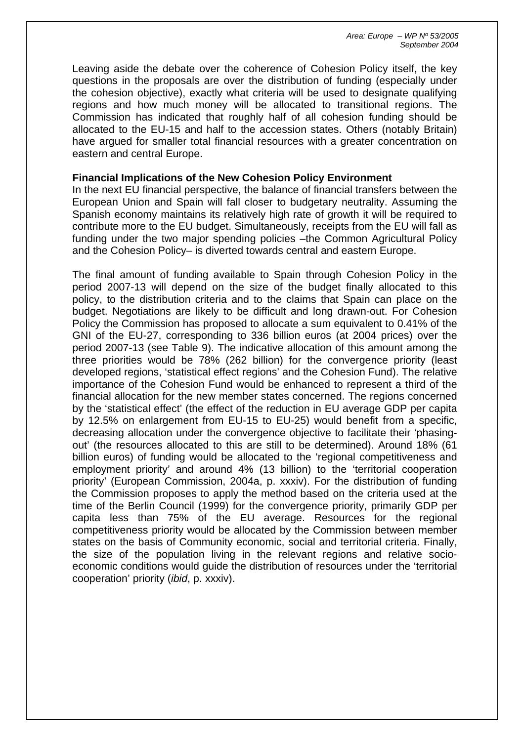Leaving aside the debate over the coherence of Cohesion Policy itself, the key questions in the proposals are over the distribution of funding (especially under the cohesion objective), exactly what criteria will be used to designate qualifying regions and how much money will be allocated to transitional regions. The Commission has indicated that roughly half of all cohesion funding should be allocated to the EU-15 and half to the accession states. Others (notably Britain) have argued for smaller total financial resources with a greater concentration on eastern and central Europe.

#### **Financial Implications of the New Cohesion Policy Environment**

In the next EU financial perspective, the balance of financial transfers between the European Union and Spain will fall closer to budgetary neutrality. Assuming the Spanish economy maintains its relatively high rate of growth it will be required to contribute more to the EU budget. Simultaneously, receipts from the EU will fall as funding under the two major spending policies –the Common Agricultural Policy and the Cohesion Policy– is diverted towards central and eastern Europe.

The final amount of funding available to Spain through Cohesion Policy in the period 2007-13 will depend on the size of the budget finally allocated to this policy, to the distribution criteria and to the claims that Spain can place on the budget. Negotiations are likely to be difficult and long drawn-out. For Cohesion Policy the Commission has proposed to allocate a sum equivalent to 0.41% of the GNI of the EU-27, corresponding to 336 billion euros (at 2004 prices) over the period 2007-13 (see Table 9). The indicative allocation of this amount among the three priorities would be 78% (262 billion) for the convergence priority (least developed regions, 'statistical effect regions' and the Cohesion Fund). The relative importance of the Cohesion Fund would be enhanced to represent a third of the financial allocation for the new member states concerned. The regions concerned by the 'statistical effect' (the effect of the reduction in EU average GDP per capita by 12.5% on enlargement from EU-15 to EU-25) would benefit from a specific, decreasing allocation under the convergence objective to facilitate their 'phasingout' (the resources allocated to this are still to be determined). Around 18% (61 billion euros) of funding would be allocated to the 'regional competitiveness and employment priority' and around 4% (13 billion) to the 'territorial cooperation priority' (European Commission, 2004a, p. xxxiv). For the distribution of funding the Commission proposes to apply the method based on the criteria used at the time of the Berlin Council (1999) for the convergence priority, primarily GDP per capita less than 75% of the EU average. Resources for the regional competitiveness priority would be allocated by the Commission between member states on the basis of Community economic, social and territorial criteria. Finally, the size of the population living in the relevant regions and relative socioeconomic conditions would guide the distribution of resources under the 'territorial cooperation' priority (*ibid*, p. xxxiv).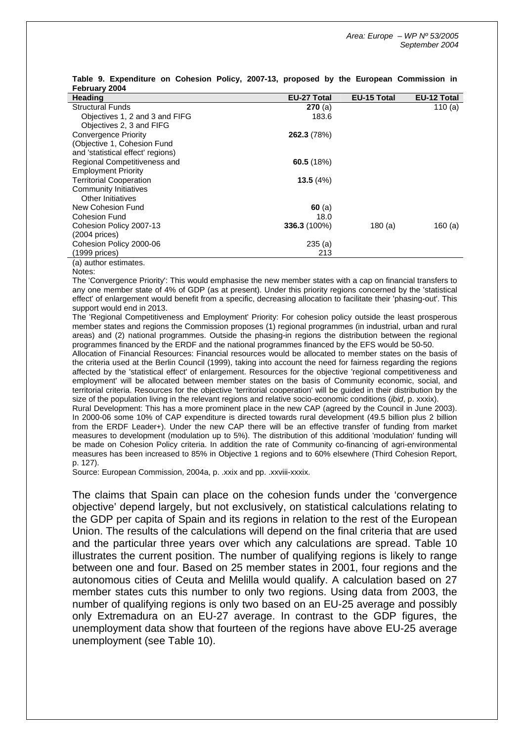| $1$ visitually $2007$             |                    |                    |                    |
|-----------------------------------|--------------------|--------------------|--------------------|
| <b>Heading</b>                    | <b>EU-27 Total</b> | <b>EU-15 Total</b> | <b>EU-12 Total</b> |
| <b>Structural Funds</b>           | <b>270</b> (a)     |                    | 110 $(a)$          |
| Objectives 1, 2 and 3 and FIFG    | 183.6              |                    |                    |
| Objectives 2, 3 and FIFG          |                    |                    |                    |
| Convergence Priority              | 262.3 (78%)        |                    |                    |
| (Objective 1, Cohesion Fund       |                    |                    |                    |
| and 'statistical effect' regions) |                    |                    |                    |
| Regional Competitiveness and      | 60.5 $(18%)$       |                    |                    |
| <b>Employment Priority</b>        |                    |                    |                    |
| <b>Territorial Cooperation</b>    | 13.5(4%)           |                    |                    |
| <b>Community Initiatives</b>      |                    |                    |                    |
| Other Initiatives                 |                    |                    |                    |
| New Cohesion Fund                 | 60(a)              |                    |                    |
| <b>Cohesion Fund</b>              | 18.0               |                    |                    |
| Cohesion Policy 2007-13           | $336.3(100\%)$     | 180(a)             | 160 $(a)$          |
| $(2004 \text{ prices})$           |                    |                    |                    |
| Cohesion Policy 2000-06           | 235(a)             |                    |                    |
| $(1999)$ prices)                  | 213                |                    |                    |
| (a) author estimates.             |                    |                    |                    |

#### **Table 9. Expenditure on Cohesion Policy, 2007-13, proposed by the European Commission in February 2004**

(a) author estimates.

The 'Convergence Priority': This would emphasise the new member states with a cap on financial transfers to any one member state of 4% of GDP (as at present). Under this priority regions concerned by the 'statistical effect' of enlargement would benefit from a specific, decreasing allocation to facilitate their 'phasing-out'. This support would end in 2013.

The 'Regional Competitiveness and Employment' Priority: For cohesion policy outside the least prosperous member states and regions the Commission proposes (1) regional programmes (in industrial, urban and rural areas) and (2) national programmes. Outside the phasing-in regions the distribution between the regional programmes financed by the ERDF and the national programmes financed by the EFS would be 50-50.

Allocation of Financial Resources: Financial resources would be allocated to member states on the basis of the criteria used at the Berlin Council (1999), taking into account the need for fairness regarding the regions affected by the 'statistical effect' of enlargement. Resources for the objective 'regional competitiveness and employment' will be allocated between member states on the basis of Community economic, social, and territorial criteria. Resources for the objective 'territorial cooperation' will be guided in their distribution by the size of the population living in the relevant regions and relative socio-economic conditions (*ibid*, p. xxxix).

Rural Development: This has a more prominent place in the new CAP (agreed by the Council in June 2003). In 2000-06 some 10% of CAP expenditure is directed towards rural development (49.5 billion plus 2 billion from the ERDF Leader+). Under the new CAP there will be an effective transfer of funding from market measures to development (modulation up to 5%). The distribution of this additional 'modulation' funding will be made on Cohesion Policy criteria. In addition the rate of Community co-financing of agri-environmental measures has been increased to 85% in Objective 1 regions and to 60% elsewhere (Third Cohesion Report, p. 127).

Source: European Commission, 2004a, p. .xxix and pp. .xxviii-xxxix.

The claims that Spain can place on the cohesion funds under the 'convergence objective' depend largely, but not exclusively, on statistical calculations relating to the GDP per capita of Spain and its regions in relation to the rest of the European Union. The results of the calculations will depend on the final criteria that are used and the particular three years over which any calculations are spread. Table 10 illustrates the current position. The number of qualifying regions is likely to range between one and four. Based on 25 member states in 2001, four regions and the autonomous cities of Ceuta and Melilla would qualify. A calculation based on 27 member states cuts this number to only two regions. Using data from 2003, the number of qualifying regions is only two based on an EU-25 average and possibly only Extremadura on an EU-27 average. In contrast to the GDP figures, the unemployment data show that fourteen of the regions have above EU-25 average unemployment (see Table 10).

Notes: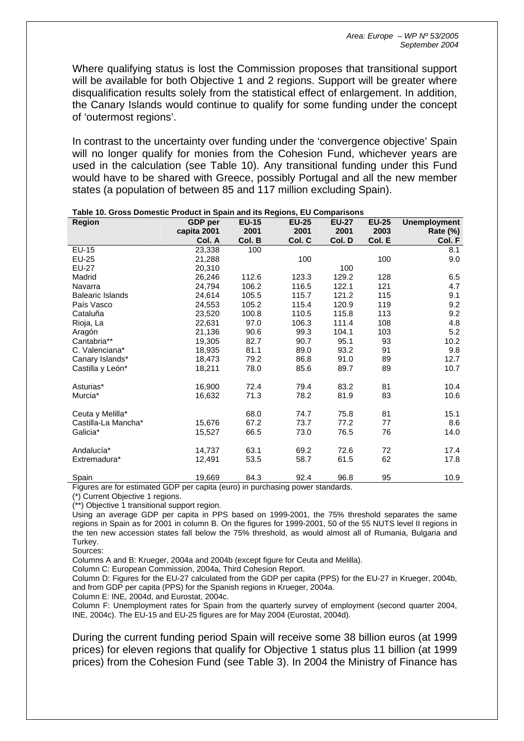Where qualifying status is lost the Commission proposes that transitional support will be available for both Objective 1 and 2 regions. Support will be greater where disqualification results solely from the statistical effect of enlargement. In addition, the Canary Islands would continue to qualify for some funding under the concept of 'outermost regions'.

In contrast to the uncertainty over funding under the 'convergence objective' Spain will no longer qualify for monies from the Cohesion Fund, whichever years are used in the calculation (see Table 10). Any transitional funding under this Fund would have to be shared with Greece, possibly Portugal and all the new member states (a population of between 85 and 117 million excluding Spain).

| <b>Region</b>                                                                 | <b>GDP</b> per | <b>EU-15</b> | <b>EU-25</b> | <b>EU-27</b> | <b>EU-25</b> | <b>Unemployment</b> |
|-------------------------------------------------------------------------------|----------------|--------------|--------------|--------------|--------------|---------------------|
|                                                                               | capita 2001    | 2001         | 2001         | 2001         | 2003         | <b>Rate (%)</b>     |
|                                                                               | Col. A         | Col. B       | Col. C       | Col. D       | Col. E       | Col. F              |
| EU-15                                                                         | 23,338         | 100          |              |              |              | 8.1                 |
| EU-25                                                                         | 21,288         |              | 100          |              | 100          | 9.0                 |
| <b>EU-27</b>                                                                  | 20,310         |              |              | 100          |              |                     |
| Madrid                                                                        | 26,246         | 112.6        | 123.3        | 129.2        | 128          | 6.5                 |
| Navarra                                                                       | 24,794         | 106.2        | 116.5        | 122.1        | 121          | 4.7                 |
| <b>Balearic Islands</b>                                                       | 24,614         | 105.5        | 115.7        | 121.2        | 115          | 9.1                 |
| País Vasco                                                                    | 24.553         | 105.2        | 115.4        | 120.9        | 119          | 9.2                 |
| Cataluña                                                                      | 23,520         | 100.8        | 110.5        | 115.8        | 113          | 9.2                 |
| Rioja, La                                                                     | 22,631         | 97.0         | 106.3        | 111.4        | 108          | 4.8                 |
| Aragón                                                                        | 21,136         | 90.6         | 99.3         | 104.1        | 103          | 5.2                 |
| Cantabria**                                                                   | 19,305         | 82.7         | 90.7         | 95.1         | 93           | 10.2                |
| C. Valenciana*                                                                | 18,935         | 81.1         | 89.0         | 93.2         | 91           | 9.8                 |
| Canary Islands*                                                               | 18,473         | 79.2         | 86.8         | 91.0         | 89           | 12.7                |
| Castilla y León*                                                              | 18,211         | 78.0         | 85.6         | 89.7         | 89           | 10.7                |
| Asturias*                                                                     | 16,900         | 72.4         | 79.4         | 83.2         | 81           | 10.4                |
| Murcia*                                                                       | 16,632         | 71.3         | 78.2         | 81.9         | 83           | 10.6                |
|                                                                               |                |              |              |              |              |                     |
| Ceuta y Melilla*                                                              |                | 68.0         | 74.7         | 75.8         | 81           | 15.1                |
| Castilla-La Mancha*                                                           | 15,676         | 67.2         | 73.7         | 77.2         | 77           | 8.6                 |
| Galicia*                                                                      | 15,527         | 66.5         | 73.0         | 76.5         | 76           | 14.0                |
| Andalucía*                                                                    | 14,737         | 63.1         | 69.2         | 72.6         | 72           | 17.4                |
| Extremadura*                                                                  | 12,491         | 53.5         | 58.7         | 61.5         | 62           | 17.8                |
| Spain                                                                         | 19,669         | 84.3         | 92.4         | 96.8         | 95           | 10.9                |
| Figures are for estimated GDP per capita (euro) in purchasing power standards |                |              |              |              |              |                     |

#### **Table 10. Gross Domestic Product in Spain and its Regions, EU Comparisons**

iDP per capita (euro) in purchasing power standards.

(\*) Current Objective 1 regions.

(\*\*) Objective 1 transitional support region.

Using an average GDP per capita in PPS based on 1999-2001, the 75% threshold separates the same regions in Spain as for 2001 in column B. On the figures for 1999-2001, 50 of the 55 NUTS level II regions in the ten new accession states fall below the 75% threshold, as would almost all of Rumania, Bulgaria and Turkey.

Sources:

Columns A and B: Krueger, 2004a and 2004b (except figure for Ceuta and Melilla).

Column C: European Commission, 2004a, Third Cohesion Report.

Column D: Figures for the EU-27 calculated from the GDP per capita (PPS) for the EU-27 in Krueger, 2004b, and from GDP per capita (PPS) for the Spanish regions in Krueger, 2004a.

Column E: INE, 2004d, and Eurostat, 2004c.

Column F: Unemployment rates for Spain from the quarterly survey of employment (second quarter 2004, INE, 2004c). The EU-15 and EU-25 figures are for May 2004 (Eurostat, 2004d).

During the current funding period Spain will receive some 38 billion euros (at 1999 prices) for eleven regions that qualify for Objective 1 status plus 11 billion (at 1999 prices) from the Cohesion Fund (see Table 3). In 2004 the Ministry of Finance has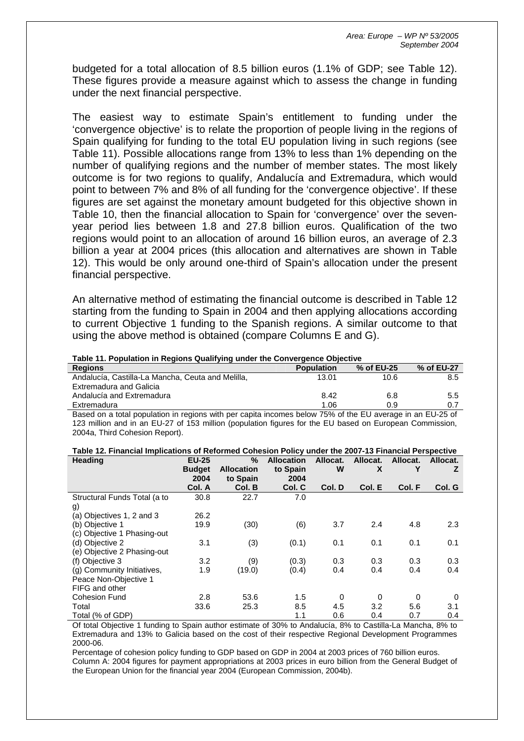budgeted for a total allocation of 8.5 billion euros (1.1% of GDP; see Table 12). These figures provide a measure against which to assess the change in funding under the next financial perspective.

The easiest way to estimate Spain's entitlement to funding under the 'convergence objective' is to relate the proportion of people living in the regions of Spain qualifying for funding to the total EU population living in such regions (see Table 11). Possible allocations range from 13% to less than 1% depending on the number of qualifying regions and the number of member states. The most likely outcome is for two regions to qualify, Andalucía and Extremadura, which would point to between 7% and 8% of all funding for the 'convergence objective'. If these figures are set against the monetary amount budgeted for this objective shown in Table 10, then the financial allocation to Spain for 'convergence' over the sevenyear period lies between 1.8 and 27.8 billion euros. Qualification of the two regions would point to an allocation of around 16 billion euros, an average of 2.3 billion a year at 2004 prices (this allocation and alternatives are shown in Table 12). This would be only around one-third of Spain's allocation under the present financial perspective.

An alternative method of estimating the financial outcome is described in Table 12 starting from the funding to Spain in 2004 and then applying allocations according to current Objective 1 funding to the Spanish regions. A similar outcome to that using the above method is obtained (compare Columns E and G).

| Table 11. Population in Regions Qualifying under the Convergence Objective                                |                   |            |            |  |  |
|-----------------------------------------------------------------------------------------------------------|-------------------|------------|------------|--|--|
| <b>Regions</b>                                                                                            | <b>Population</b> | % of EU-25 | % of EU-27 |  |  |
| Andalucía, Castilla-La Mancha, Ceuta and Melilla,                                                         | 13.01             | 10.6       | 8.5        |  |  |
| Extremadura and Galicia                                                                                   |                   |            |            |  |  |
| Andalucía and Extremadura                                                                                 | 8.42              | 6.8        | 5.5        |  |  |
| Extremadura                                                                                               | 1.06              | 0.9        | 0.7        |  |  |
| Based on a total population in regions with per capita incomes below 75% of the EU average in an EU-25 of |                   |            |            |  |  |

Based on a total population in regions with per capita incomes below 75% of the EU average in an EU-25 of 123 million and in an EU-27 of 153 million (population figures for the EU based on European Commission, 2004a, Third Cohesion Report).

| <b>Heading</b>               | <b>EU-25</b>          | %                             | <b>Allocation</b> | Allocat. | Allocat. | Allocat. | Allocat. |
|------------------------------|-----------------------|-------------------------------|-------------------|----------|----------|----------|----------|
|                              | <b>Budget</b><br>2004 | <b>Allocation</b><br>to Spain | to Spain<br>2004  | W        | X        |          | z        |
|                              | Col. A                | Col. B                        | Col. C            | Col. D   | Col. E   | Col. F   | Col. G   |
| Structural Funds Total (a to | 30.8                  | 22.7                          | 7.0               |          |          |          |          |
| g)                           |                       |                               |                   |          |          |          |          |
| (a) Objectives 1, 2 and 3    | 26.2                  |                               |                   |          |          |          |          |
| (b) Objective 1              | 19.9                  | (30)                          | (6)               | 3.7      | 2.4      | 4.8      | 2.3      |
| (c) Objective 1 Phasing-out  |                       |                               |                   |          |          |          |          |
| (d) Objective 2              | 3.1                   | (3)                           | (0.1)             | 0.1      | 0.1      | 0.1      | 0.1      |
| (e) Objective 2 Phasing-out  |                       |                               |                   |          |          |          |          |
| (f) Objective 3              | 3.2                   | (9)                           | (0.3)             | 0.3      | 0.3      | 0.3      | 0.3      |
| (g) Community Initiatives,   | 1.9                   | (19.0)                        | (0.4)             | 0.4      | 0.4      | 0.4      | 0.4      |
| Peace Non-Objective 1        |                       |                               |                   |          |          |          |          |
| FIFG and other               |                       |                               |                   |          |          |          |          |
| <b>Cohesion Fund</b>         | 2.8                   | 53.6                          | 1.5               | 0        | $\Omega$ | 0        | 0        |
| Total                        | 33.6                  | 25.3                          | 8.5               | 4.5      | 3.2      | 5.6      | 3.1      |
| Total (% of GDP)             |                       |                               | 1.1               | 0.6      | 0.4      | 0.7      | 0.4      |

|  |  |  |  | Table 12. Financial Implications of Reformed Cohesion Policy under the 2007-13 Financial Perspective |
|--|--|--|--|------------------------------------------------------------------------------------------------------|
|--|--|--|--|------------------------------------------------------------------------------------------------------|

Of total Objective 1 funding to Spain author estimate of 30% to Andalucía, 8% to Castilla-La Mancha, 8% to Extremadura and 13% to Galicia based on the cost of their respective Regional Development Programmes 2000-06.

Percentage of cohesion policy funding to GDP based on GDP in 2004 at 2003 prices of 760 billion euros. Column A: 2004 figures for payment appropriations at 2003 prices in euro billion from the General Budget of the European Union for the financial year 2004 (European Commission, 2004b).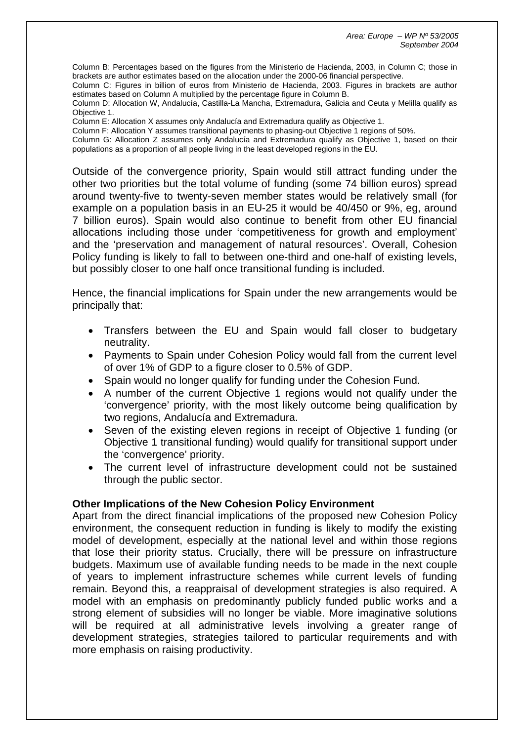Column B: Percentages based on the figures from the Ministerio de Hacienda, 2003, in Column C; those in brackets are author estimates based on the allocation under the 2000-06 financial perspective.

Column C: Figures in billion of euros from Ministerio de Hacienda, 2003. Figures in brackets are author estimates based on Column A multiplied by the percentage figure in Column B.

Column D: Allocation W, Andalucía, Castilla-La Mancha, Extremadura, Galicia and Ceuta y Melilla qualify as Objective 1.

Column E: Allocation X assumes only Andalucía and Extremadura qualify as Objective 1.

Column F: Allocation Y assumes transitional payments to phasing-out Objective 1 regions of 50%. Column G: Allocation Z assumes only Andalucía and Extremadura qualify as Objective 1, based on their populations as a proportion of all people living in the least developed regions in the EU.

Outside of the convergence priority, Spain would still attract funding under the other two priorities but the total volume of funding (some 74 billion euros) spread around twenty-five to twenty-seven member states would be relatively small (for example on a population basis in an EU-25 it would be 40/450 or 9%, eg, around 7 billion euros). Spain would also continue to benefit from other EU financial allocations including those under 'competitiveness for growth and employment' and the 'preservation and management of natural resources'. Overall, Cohesion Policy funding is likely to fall to between one-third and one-half of existing levels, but possibly closer to one half once transitional funding is included.

Hence, the financial implications for Spain under the new arrangements would be principally that:

- Transfers between the EU and Spain would fall closer to budgetary neutrality.
- Payments to Spain under Cohesion Policy would fall from the current level of over 1% of GDP to a figure closer to 0.5% of GDP.
- Spain would no longer qualify for funding under the Cohesion Fund.
- A number of the current Objective 1 regions would not qualify under the 'convergence' priority, with the most likely outcome being qualification by two regions, Andalucía and Extremadura.
- Seven of the existing eleven regions in receipt of Objective 1 funding (or Objective 1 transitional funding) would qualify for transitional support under the 'convergence' priority.
- The current level of infrastructure development could not be sustained through the public sector.

## **Other Implications of the New Cohesion Policy Environment**

Apart from the direct financial implications of the proposed new Cohesion Policy environment, the consequent reduction in funding is likely to modify the existing model of development, especially at the national level and within those regions that lose their priority status. Crucially, there will be pressure on infrastructure budgets. Maximum use of available funding needs to be made in the next couple of years to implement infrastructure schemes while current levels of funding remain. Beyond this, a reappraisal of development strategies is also required. A model with an emphasis on predominantly publicly funded public works and a strong element of subsidies will no longer be viable. More imaginative solutions will be required at all administrative levels involving a greater range of development strategies, strategies tailored to particular requirements and with more emphasis on raising productivity.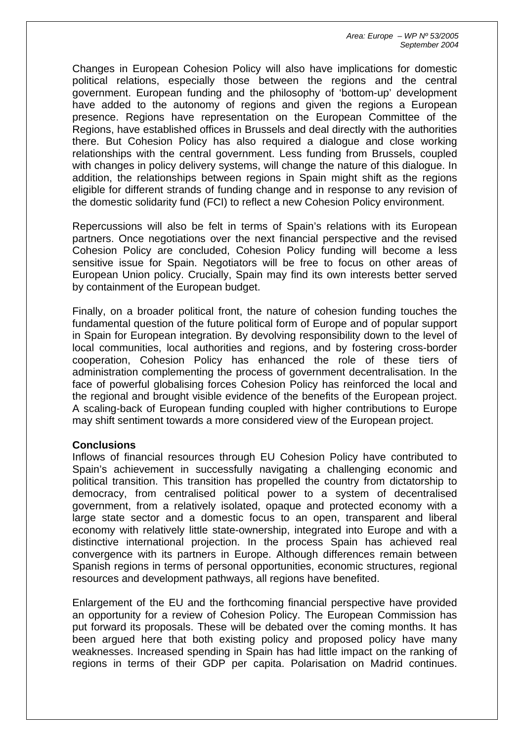Changes in European Cohesion Policy will also have implications for domestic political relations, especially those between the regions and the central government. European funding and the philosophy of 'bottom-up' development have added to the autonomy of regions and given the regions a European presence. Regions have representation on the European Committee of the Regions, have established offices in Brussels and deal directly with the authorities there. But Cohesion Policy has also required a dialogue and close working relationships with the central government. Less funding from Brussels, coupled with changes in policy delivery systems, will change the nature of this dialogue. In addition, the relationships between regions in Spain might shift as the regions eligible for different strands of funding change and in response to any revision of the domestic solidarity fund (FCI) to reflect a new Cohesion Policy environment.

Repercussions will also be felt in terms of Spain's relations with its European partners. Once negotiations over the next financial perspective and the revised Cohesion Policy are concluded, Cohesion Policy funding will become a less sensitive issue for Spain. Negotiators will be free to focus on other areas of European Union policy. Crucially, Spain may find its own interests better served by containment of the European budget.

Finally, on a broader political front, the nature of cohesion funding touches the fundamental question of the future political form of Europe and of popular support in Spain for European integration. By devolving responsibility down to the level of local communities, local authorities and regions, and by fostering cross-border cooperation, Cohesion Policy has enhanced the role of these tiers of administration complementing the process of government decentralisation. In the face of powerful globalising forces Cohesion Policy has reinforced the local and the regional and brought visible evidence of the benefits of the European project. A scaling-back of European funding coupled with higher contributions to Europe may shift sentiment towards a more considered view of the European project.

## **Conclusions**

Inflows of financial resources through EU Cohesion Policy have contributed to Spain's achievement in successfully navigating a challenging economic and political transition. This transition has propelled the country from dictatorship to democracy, from centralised political power to a system of decentralised government, from a relatively isolated, opaque and protected economy with a large state sector and a domestic focus to an open, transparent and liberal economy with relatively little state-ownership, integrated into Europe and with a distinctive international projection. In the process Spain has achieved real convergence with its partners in Europe. Although differences remain between Spanish regions in terms of personal opportunities, economic structures, regional resources and development pathways, all regions have benefited.

Enlargement of the EU and the forthcoming financial perspective have provided an opportunity for a review of Cohesion Policy. The European Commission has put forward its proposals. These will be debated over the coming months. It has been argued here that both existing policy and proposed policy have many weaknesses. Increased spending in Spain has had little impact on the ranking of regions in terms of their GDP per capita. Polarisation on Madrid continues.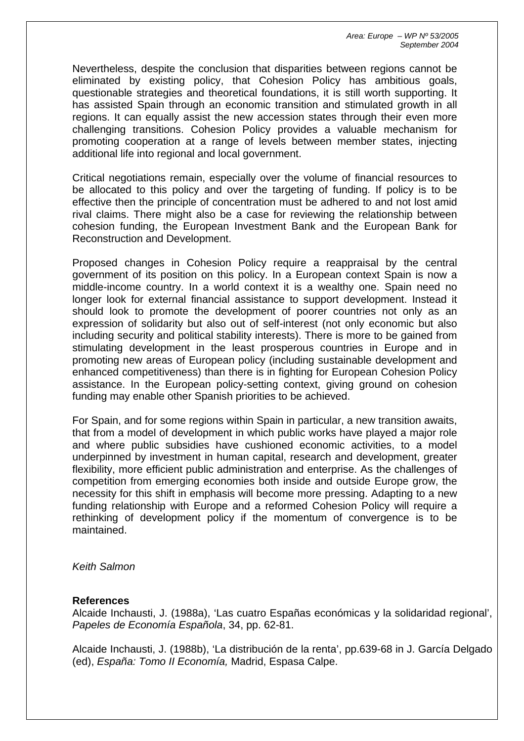Nevertheless, despite the conclusion that disparities between regions cannot be eliminated by existing policy, that Cohesion Policy has ambitious goals, questionable strategies and theoretical foundations, it is still worth supporting. It has assisted Spain through an economic transition and stimulated growth in all regions. It can equally assist the new accession states through their even more challenging transitions. Cohesion Policy provides a valuable mechanism for promoting cooperation at a range of levels between member states, injecting additional life into regional and local government.

Critical negotiations remain, especially over the volume of financial resources to be allocated to this policy and over the targeting of funding. If policy is to be effective then the principle of concentration must be adhered to and not lost amid rival claims. There might also be a case for reviewing the relationship between cohesion funding, the European Investment Bank and the European Bank for Reconstruction and Development.

Proposed changes in Cohesion Policy require a reappraisal by the central government of its position on this policy. In a European context Spain is now a middle-income country. In a world context it is a wealthy one. Spain need no longer look for external financial assistance to support development. Instead it should look to promote the development of poorer countries not only as an expression of solidarity but also out of self-interest (not only economic but also including security and political stability interests). There is more to be gained from stimulating development in the least prosperous countries in Europe and in promoting new areas of European policy (including sustainable development and enhanced competitiveness) than there is in fighting for European Cohesion Policy assistance. In the European policy-setting context, giving ground on cohesion funding may enable other Spanish priorities to be achieved.

For Spain, and for some regions within Spain in particular, a new transition awaits, that from a model of development in which public works have played a major role and where public subsidies have cushioned economic activities, to a model underpinned by investment in human capital, research and development, greater flexibility, more efficient public administration and enterprise. As the challenges of competition from emerging economies both inside and outside Europe grow, the necessity for this shift in emphasis will become more pressing. Adapting to a new funding relationship with Europe and a reformed Cohesion Policy will require a rethinking of development policy if the momentum of convergence is to be maintained.

*Keith Salmon* 

#### **References**

Alcaide Inchausti, J. (1988a), 'Las cuatro Españas económicas y la solidaridad regional', *Papeles de Economía Española*, 34, pp. 62-81.

Alcaide Inchausti, J. (1988b), 'La distribución de la renta', pp.639-68 in J. García Delgado (ed), *España: Tomo II Economía,* Madrid, Espasa Calpe.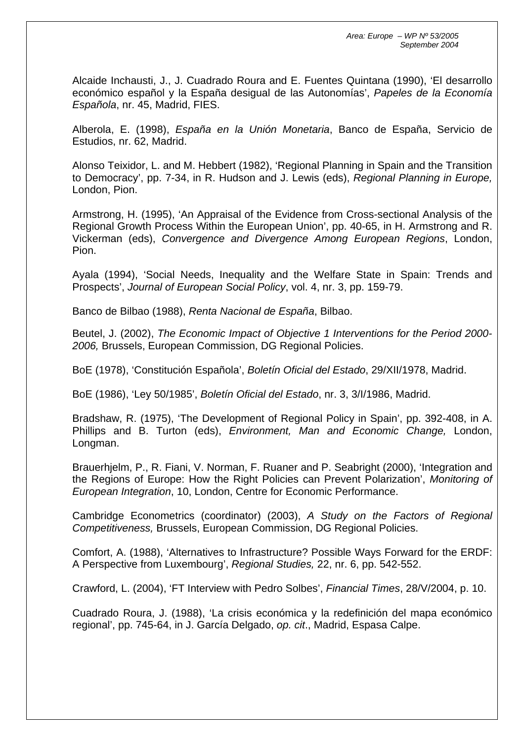Alcaide Inchausti, J., J. Cuadrado Roura and E. Fuentes Quintana (1990), 'El desarrollo económico español y la España desigual de las Autonomías', *Papeles de la Economía Española*, nr. 45, Madrid, FIES.

Alberola, E. (1998), *España en la Unión Monetaria*, Banco de España, Servicio de Estudios, nr. 62, Madrid.

Alonso Teixidor, L. and M. Hebbert (1982), 'Regional Planning in Spain and the Transition to Democracy', pp. 7-34, in R. Hudson and J. Lewis (eds), *Regional Planning in Europe,* London, Pion.

Armstrong, H. (1995), 'An Appraisal of the Evidence from Cross-sectional Analysis of the Regional Growth Process Within the European Union', pp. 40-65, in H. Armstrong and R. Vickerman (eds), *Convergence and Divergence Among European Regions*, London, Pion.

Ayala (1994), 'Social Needs, Inequality and the Welfare State in Spain: Trends and Prospects', *Journal of European Social Policy*, vol. 4, nr. 3, pp. 159-79.

Banco de Bilbao (1988), *Renta Nacional de España*, Bilbao.

Beutel, J. (2002), *The Economic Impact of Objective 1 Interventions for the Period 2000- 2006,* Brussels, European Commission, DG Regional Policies.

BoE (1978), 'Constitución Española', *Boletín Oficial del Estado*, 29/XII/1978, Madrid.

BoE (1986), 'Ley 50/1985', *Boletín Oficial del Estado*, nr. 3, 3/I/1986, Madrid.

Bradshaw, R. (1975), 'The Development of Regional Policy in Spain', pp. 392-408, in A. Phillips and B. Turton (eds), *Environment, Man and Economic Change,* London, Longman.

Brauerhjelm, P., R. Fiani, V. Norman, F. Ruaner and P. Seabright (2000), 'Integration and the Regions of Europe: How the Right Policies can Prevent Polarization', *Monitoring of European Integration*, 10, London, Centre for Economic Performance.

Cambridge Econometrics (coordinator) (2003), *A Study on the Factors of Regional Competitiveness,* Brussels, European Commission, DG Regional Policies.

Comfort, A. (1988), 'Alternatives to Infrastructure? Possible Ways Forward for the ERDF: A Perspective from Luxembourg', *Regional Studies,* 22, nr. 6, pp. 542-552.

Crawford, L. (2004), 'FT Interview with Pedro Solbes', *Financial Times*, 28/V/2004, p. 10.

Cuadrado Roura, J. (1988), 'La crisis económica y la redefinición del mapa económico regional', pp. 745-64, in J. García Delgado, *op. cit*., Madrid, Espasa Calpe.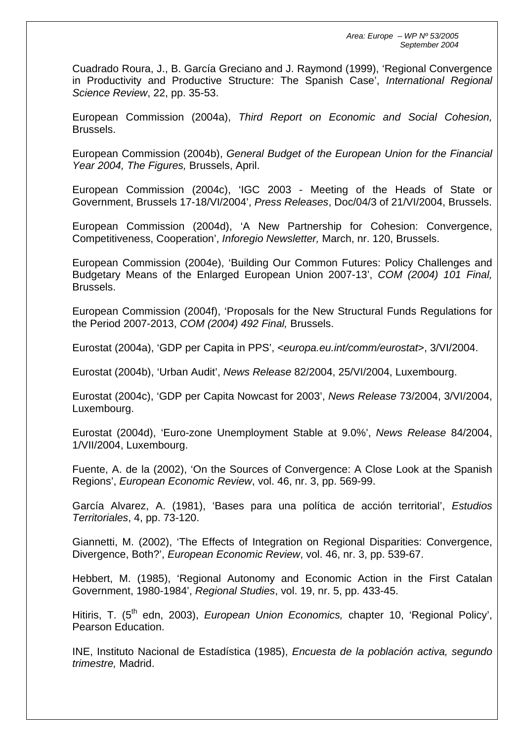Cuadrado Roura, J., B. García Greciano and J. Raymond (1999), 'Regional Convergence in Productivity and Productive Structure: The Spanish Case', *International Regional Science Review*, 22, pp. 35-53.

European Commission (2004a), *Third Report on Economic and Social Cohesion,* Brussels.

European Commission (2004b), *General Budget of the European Union for the Financial Year 2004, The Figures,* Brussels, April.

European Commission (2004c), 'IGC 2003 - Meeting of the Heads of State or Government, Brussels 17-18/VI/2004', *Press Releases*, Doc/04/3 of 21/VI/2004, Brussels.

European Commission (2004d), 'A New Partnership for Cohesion: Convergence, Competitiveness, Cooperation', *Inforegio Newsletter,* March, nr. 120, Brussels.

European Commission (2004e), 'Building Our Common Futures: Policy Challenges and Budgetary Means of the Enlarged European Union 2007-13', *COM (2004) 101 Final,* Brussels.

European Commission (2004f), 'Proposals for the New Structural Funds Regulations for the Period 2007-2013, *COM (2004) 492 Final,* Brussels.

Eurostat (2004a), 'GDP per Capita in PPS', <*europa.eu.int/comm/eurostat*>, 3/VI/2004.

Eurostat (2004b), 'Urban Audit', *News Release* 82/2004, 25/VI/2004, Luxembourg.

Eurostat (2004c), 'GDP per Capita Nowcast for 2003', *News Release* 73/2004, 3/VI/2004, Luxembourg.

Eurostat (2004d), 'Euro-zone Unemployment Stable at 9.0%', *News Release* 84/2004, 1/VII/2004, Luxembourg.

Fuente, A. de la (2002), 'On the Sources of Convergence: A Close Look at the Spanish Regions', *European Economic Review*, vol. 46, nr. 3, pp. 569-99.

García Alvarez, A. (1981), 'Bases para una política de acción territorial', *Estudios Territoriales*, 4, pp. 73-120.

Giannetti, M. (2002), 'The Effects of Integration on Regional Disparities: Convergence, Divergence, Both?', *European Economic Review*, vol. 46, nr. 3, pp. 539-67.

Hebbert, M. (1985), 'Regional Autonomy and Economic Action in the First Catalan Government, 1980-1984', *Regional Studies*, vol. 19, nr. 5, pp. 433-45.

Hitiris, T. (5<sup>th</sup> edn, 2003), *European Union Economics*, chapter 10, 'Regional Policy', Pearson Education.

INE, Instituto Nacional de Estadística (1985), *Encuesta de la población activa, segundo trimestre,* Madrid.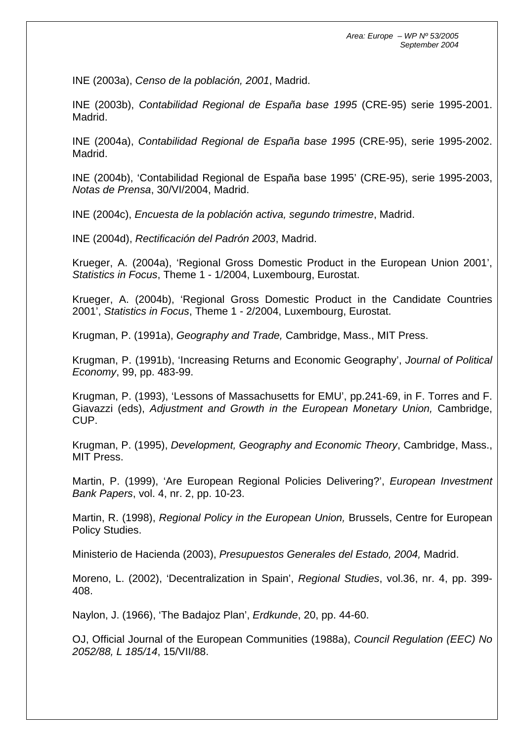INE (2003a), *Censo de la población, 2001*, Madrid.

INE (2003b), *Contabilidad Regional de España base 1995* (CRE-95) serie 1995-2001. Madrid.

INE (2004a), *Contabilidad Regional de España base 1995* (CRE-95), serie 1995-2002. Madrid.

INE (2004b), 'Contabilidad Regional de España base 1995' (CRE-95), serie 1995-2003, *Notas de Prensa*, 30/VI/2004, Madrid.

INE (2004c), *Encuesta de la población activa, segundo trimestre*, Madrid.

INE (2004d), *Rectificación del Padrón 2003*, Madrid.

Krueger, A. (2004a), 'Regional Gross Domestic Product in the European Union 2001', *Statistics in Focus*, Theme 1 - 1/2004, Luxembourg, Eurostat.

Krueger, A. (2004b), 'Regional Gross Domestic Product in the Candidate Countries 2001', *Statistics in Focus*, Theme 1 - 2/2004, Luxembourg, Eurostat.

Krugman, P. (1991a), *Geography and Trade,* Cambridge, Mass., MIT Press.

Krugman, P. (1991b), 'Increasing Returns and Economic Geography', *Journal of Political Economy*, 99, pp. 483-99.

Krugman, P. (1993), 'Lessons of Massachusetts for EMU', pp.241-69, in F. Torres and F. Giavazzi (eds), *Adjustment and Growth in the European Monetary Union,* Cambridge, CUP.

Krugman, P. (1995), *Development, Geography and Economic Theory*, Cambridge, Mass., MIT Press.

Martin, P. (1999), 'Are European Regional Policies Delivering?', *European Investment Bank Papers*, vol. 4, nr. 2, pp. 10-23.

Martin, R. (1998), *Regional Policy in the European Union,* Brussels, Centre for European Policy Studies.

Ministerio de Hacienda (2003), *Presupuestos Generales del Estado, 2004,* Madrid.

Moreno, L. (2002), 'Decentralization in Spain', *Regional Studies*, vol.36, nr. 4, pp. 399- 408.

Naylon, J. (1966), 'The Badajoz Plan', *Erdkunde*, 20, pp. 44-60.

OJ, Official Journal of the European Communities (1988a), *Council Regulation (EEC) No 2052/88, L 185/14*, 15/VII/88.